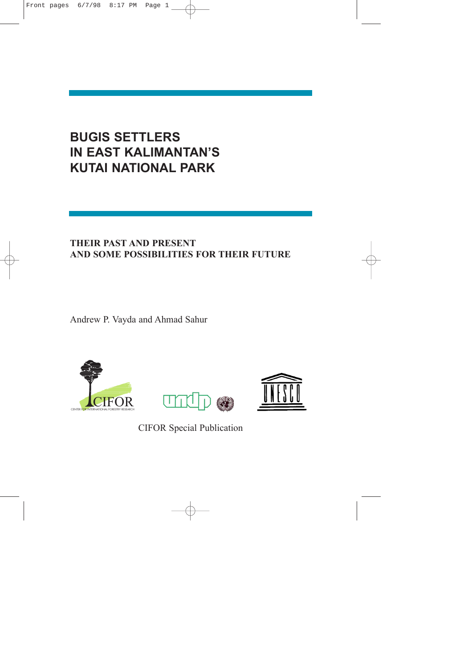# **BUGIS SETTLERS IN EAST KALIMANTAN'S KUTAI NATIONAL PARK**

## **THEIR PAST AND PRESENT AND SOME POSSIBILITIES FOR THEIR FUTURE**

Andrew P. Vayda and Ahmad Sahur







CIFOR Special Publication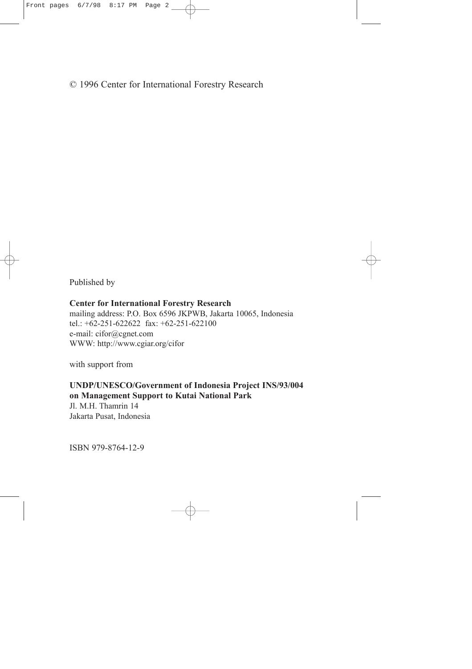## © 1996 Center for International Forestry Research

Published by

#### **Center for International Forestry Research**

mailing address: P.O. Box 6596 JKPWB, Jakarta 10065, Indonesia tel.: +62-251-622622 fax: +62-251-622100 e-mail: cifor@cgnet.com WWW: http://www.cgiar.org/cifor

with support from

#### **UNDP/UNESCO/Government of Indonesia Project INS/93/004 on Management Support to Kutai National Park**

Jl. M.H. Thamrin 14 Jakarta Pusat, Indonesia

ISBN 979-8764-12-9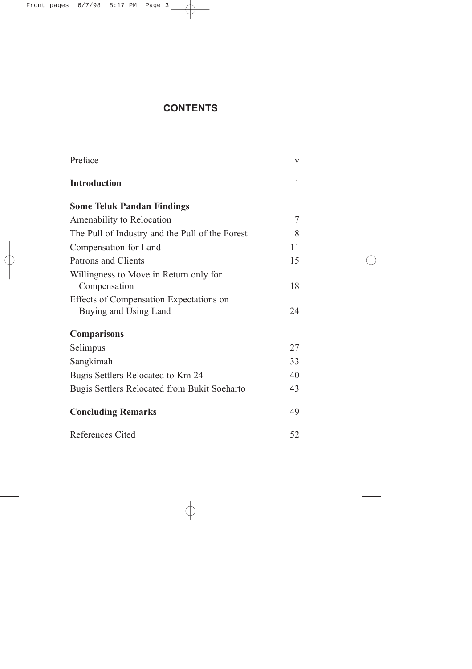## **CONTENTS**

| Preface                                         | V  |
|-------------------------------------------------|----|
| <b>Introduction</b>                             | 1  |
| <b>Some Teluk Pandan Findings</b>               |    |
| Amenability to Relocation                       | 7  |
| The Pull of Industry and the Pull of the Forest | 8  |
| Compensation for Land                           | 11 |
| <b>Patrons and Clients</b>                      | 15 |
| Willingness to Move in Return only for          |    |
| Compensation                                    | 18 |
| Effects of Compensation Expectations on         |    |
| Buying and Using Land                           | 24 |
| <b>Comparisons</b>                              |    |
| Selimpus                                        | 27 |
| Sangkimah                                       | 33 |
| Bugis Settlers Relocated to Km 24               | 40 |
| Bugis Settlers Relocated from Bukit Soeharto    | 43 |
| <b>Concluding Remarks</b>                       | 49 |
| References Cited                                | 52 |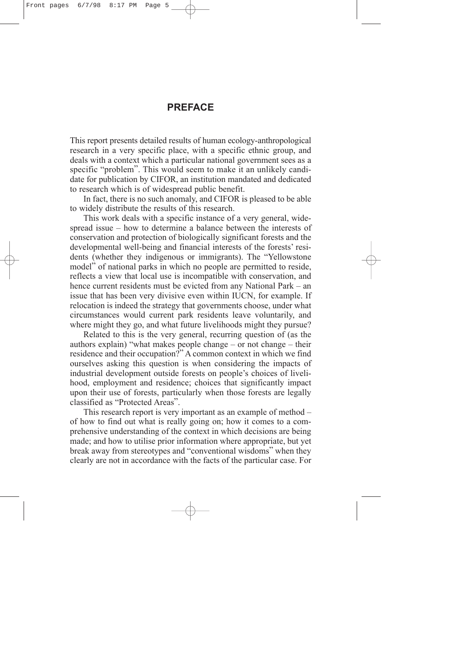## **PREFACE**

<span id="page-3-0"></span>This report presents detailed results of human ecology-anthropological research in a very specific place, with a specific ethnic group, and deals with a context which a particular national government sees as a specific "problem". This would seem to make it an unlikely candidate for publication by CIFOR, an institution mandated and dedicated to research which is of widespread public benefit.

In fact, there is no such anomaly, and CIFOR is pleased to be able to widely distribute the results of this research.

This work deals with a specific instance of a very general, widespread issue – how to determine a balance between the interests of conservation and protection of biologically significant forests and the developmental well-being and financial interests of the forests' residents (whether they indigenous or immigrants). The "Yellowstone model" of national parks in which no people are permitted to reside, reflects a view that local use is incompatible with conservation, and hence current residents must be evicted from any National Park – an issue that has been very divisive even within IUCN, for example. If relocation is indeed the strategy that governments choose, under what circumstances would current park residents leave voluntarily, and where might they go, and what future livelihoods might they pursue?

Related to this is the very general, recurring question of (as the authors explain) "what makes people change – or not change – their residence and their occupation?" A common context in which we find ourselves asking this question is when considering the impacts of industrial development outside forests on people's choices of livelihood, employment and residence; choices that significantly impact upon their use of forests, particularly when those forests are legally classified as "Protected Areas".

This research report is very important as an example of method – of how to find out what is really going on; how it comes to a comprehensive understanding of the context in which decisions are being made; and how to utilise prior information where appropriate, but yet break away from stereotypes and "conventional wisdoms" when they clearly are not in accordance with the facts of the particular case. For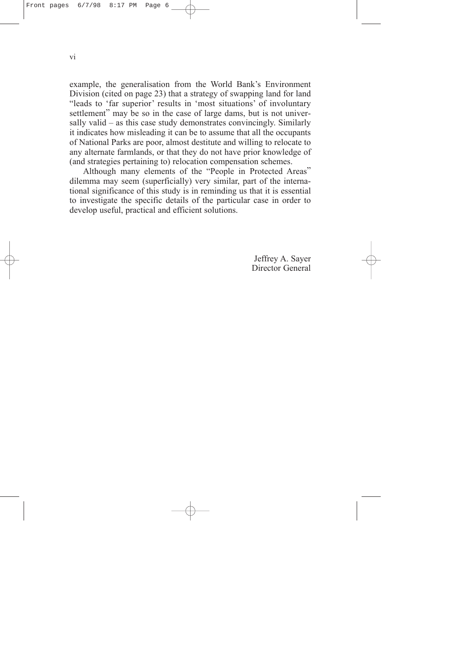example, the generalisation from the World Bank's Environment Division (cited on page 23) that a strategy of swapping land for land "leads to 'far superior' results in 'most situations' of involuntary settlement" may be so in the case of large dams, but is not universally valid – as this case study demonstrates convincingly. Similarly it indicates how misleading it can be to assume that all the occupants of National Parks are poor, almost destitute and willing to relocate to any alternate farmlands, or that they do not have prior knowledge of (and strategies pertaining to) relocation compensation schemes.

Although many elements of the "People in Protected Areas" dilemma may seem (superficially) very similar, part of the international significance of this study is in reminding us that it is essential to investigate the specific details of the particular case in order to develop useful, practical and efficient solutions.

> Jeffrey A. Sayer Director General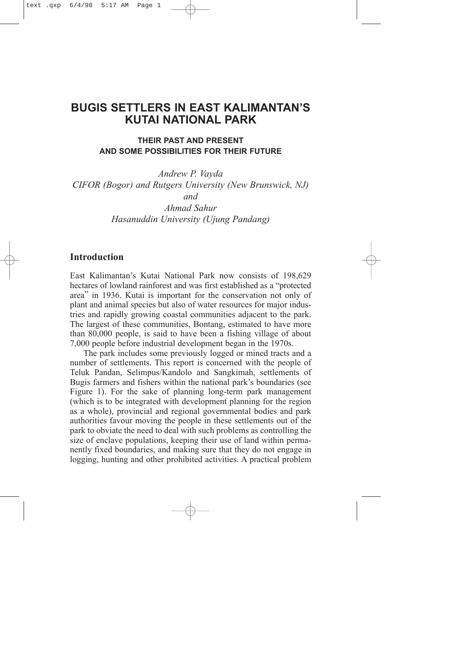## <span id="page-5-0"></span>**BUGIS SETTLERS IN EAST KALIMANTAN'S KUTAI NATIONAL PARK**

## **THEIR PAST AND PRESENT AND SOME POSSIBILITIES FOR THEIR FUTURE**

*Andrew P. Vayda CIFOR (Bogor) and Rutgers University (New Brunswick, NJ) and Ahmad Sahur*

*Hasanuddin University (Ujung Pandang)*

### **Introduction**

East Kalimantan's Kutai National Park now consists of 198,629 hectares of lowland rainforest and was first established as a "protected area" in 1936. Kutai is important for the conservation not only of plant and animal species but also of water resources for major industries and rapidly growing coastal communities adjacent to the park. The largest of these communities, Bontang, estimated to have more than 80,000 people, is said to have been a fishing village of about 7,000 people before industrial development began in the 1970s.

The park includes some previously logged or mined tracts and a number of settlements. This report is concerned with the people of Teluk Pandan, Selimpus/Kandolo and Sangkimah, settlements of Bugis farmers and fishers within the national park's boundaries (see Figure 1). For the sake of planning long-term park management (which is to be integrated with development planning for the region as a whole), provincial and regional governmental bodies and park authorities favour moving the people in these settlements out of the park to obviate the need to deal with such problems as controlling the size of enclave populations, keeping their use of land within permanently fixed boundaries, and making sure that they do not engage in logging, hunting and other prohibited activities. A practical problem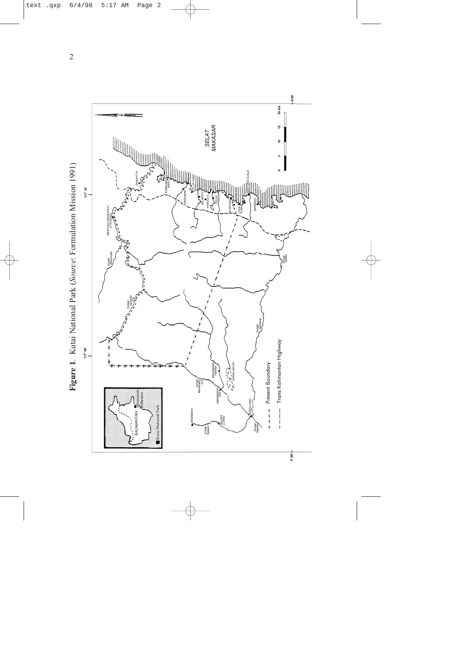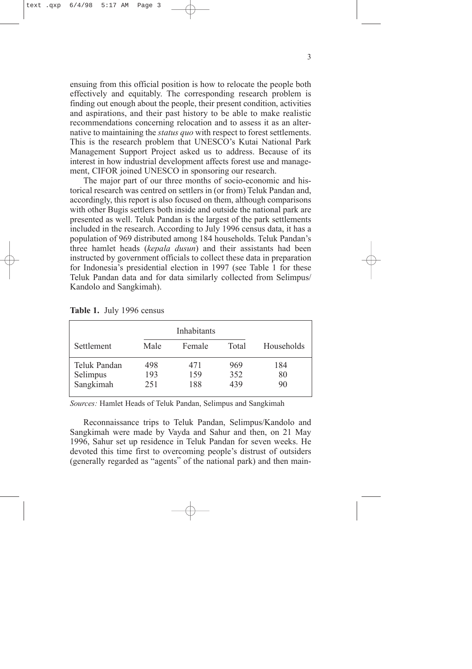ensuing from this official position is how to relocate the people both effectively and equitably. The corresponding research problem is finding out enough about the people, their present condition, activities and aspirations, and their past history to be able to make realistic recommendations concerning relocation and to assess it as an alternative to maintaining the *status quo* with respect to forest settlements. This is the research problem that UNESCO's Kutai National Park Management Support Project asked us to address. Because of its interest in how industrial development affects forest use and management, CIFOR joined UNESCO in sponsoring our research.

The major part of our three months of socio-economic and historical research was centred on settlers in (or from) Teluk Pandan and, accordingly, this report is also focused on them, although comparisons with other Bugis settlers both inside and outside the national park are presented as well. Teluk Pandan is the largest of the park settlements included in the research. According to July 1996 census data, it has a population of 969 distributed among 184 households. Teluk Pandan's three hamlet heads (*kepala dusun*) and their assistants had been instructed by government officials to collect these data in preparation for Indonesia's presidential election in 1997 (see Table 1 for these Teluk Pandan data and for data similarly collected from Selimpus/ Kandolo and Sangkimah).

|                                       |                   | Inhabitants       |                   |                 |
|---------------------------------------|-------------------|-------------------|-------------------|-----------------|
| Settlement                            | Male              | Female            | Total             | Households      |
| Teluk Pandan<br>Selimpus<br>Sangkimah | 498<br>193<br>251 | 471<br>159<br>188 | 969<br>352<br>439 | 184<br>80<br>90 |

**Table 1.** July 1996 census

*Sources:* Hamlet Heads of Teluk Pandan, Selimpus and Sangkimah

Reconnaissance trips to Teluk Pandan, Selimpus/Kandolo and Sangkimah were made by Vayda and Sahur and then, on 21 May 1996, Sahur set up residence in Teluk Pandan for seven weeks. He devoted this time first to overcoming people's distrust of outsiders (generally regarded as "agents" of the national park) and then main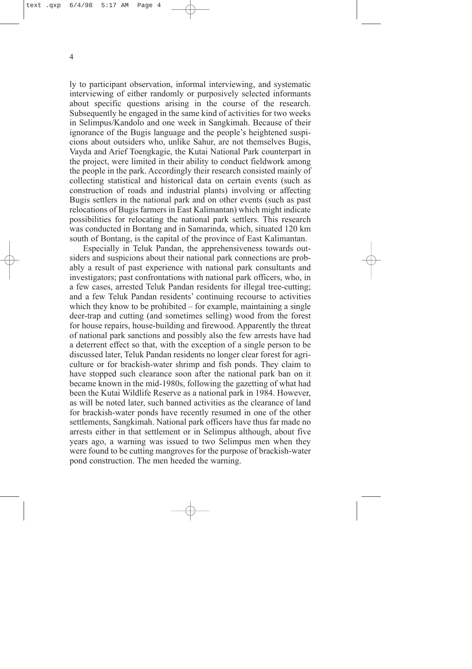ly to participant observation, informal interviewing, and systematic interviewing of either randomly or purposively selected informants about specific questions arising in the course of the research. Subsequently he engaged in the same kind of activities for two weeks in Selimpus/Kandolo and one week in Sangkimah. Because of their ignorance of the Bugis language and the people's heightened suspicions about outsiders who, unlike Sahur, are not themselves Bugis, Vayda and Arief Toengkagie, the Kutai National Park counterpart in the project, were limited in their ability to conduct fieldwork among the people in the park. Accordingly their research consisted mainly of collecting statistical and historical data on certain events (such as construction of roads and industrial plants) involving or affecting Bugis settlers in the national park and on other events (such as past relocations of Bugis farmers in East Kalimantan) which might indicate possibilities for relocating the national park settlers. This research was conducted in Bontang and in Samarinda, which, situated 120 km south of Bontang, is the capital of the province of East Kalimantan.

Especially in Teluk Pandan, the apprehensiveness towards outsiders and suspicions about their national park connections are probably a result of past experience with national park consultants and investigators; past confrontations with national park officers, who, in a few cases, arrested Teluk Pandan residents for illegal tree-cutting; and a few Teluk Pandan residents' continuing recourse to activities which they know to be prohibited – for example, maintaining a single deer-trap and cutting (and sometimes selling) wood from the forest for house repairs, house-building and firewood. Apparently the threat of national park sanctions and possibly also the few arrests have had a deterrent effect so that, with the exception of a single person to be discussed later, Teluk Pandan residents no longer clear forest for agriculture or for brackish-water shrimp and fish ponds. They claim to have stopped such clearance soon after the national park ban on it became known in the mid-1980s, following the gazetting of what had been the Kutai Wildlife Reserve as a national park in 1984. However, as will be noted later, such banned activities as the clearance of land for brackish-water ponds have recently resumed in one of the other settlements, Sangkimah. National park officers have thus far made no arrests either in that settlement or in Selimpus although, about five years ago, a warning was issued to two Selimpus men when they were found to be cutting mangroves for the purpose of brackish-water pond construction. The men heeded the warning.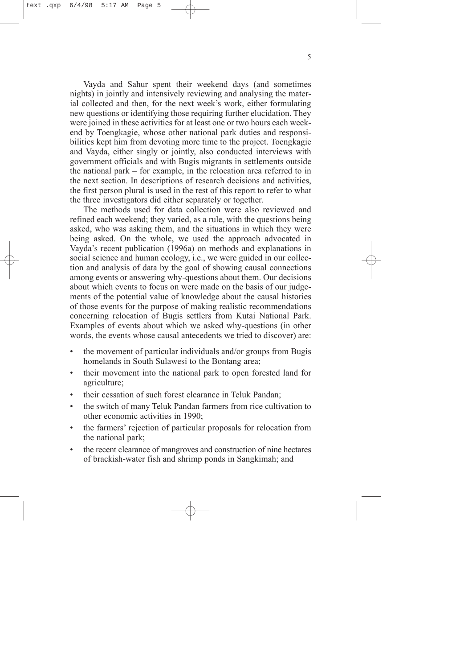Vayda and Sahur spent their weekend days (and sometimes nights) in jointly and intensively reviewing and analysing the material collected and then, for the next week's work, either formulating new questions or identifying those requiring further elucidation. They were joined in these activities for at least one or two hours each weekend by Toengkagie, whose other national park duties and responsibilities kept him from devoting more time to the project. Toengkagie and Vayda, either singly or jointly, also conducted interviews with government officials and with Bugis migrants in settlements outside the national park – for example, in the relocation area referred to in the next section. In descriptions of research decisions and activities, the first person plural is used in the rest of this report to refer to what the three investigators did either separately or together.

The methods used for data collection were also reviewed and refined each weekend; they varied, as a rule, with the questions being asked, who was asking them, and the situations in which they were being asked. On the whole, we used the approach advocated in Vayda's recent publication (1996a) on methods and explanations in social science and human ecology, i.e., we were guided in our collection and analysis of data by the goal of showing causal connections among events or answering why-questions about them. Our decisions about which events to focus on were made on the basis of our judgements of the potential value of knowledge about the causal histories of those events for the purpose of making realistic recommendations concerning relocation of Bugis settlers from Kutai National Park. Examples of events about which we asked why-questions (in other words, the events whose causal antecedents we tried to discover) are:

- the movement of particular individuals and/or groups from Bugis homelands in South Sulawesi to the Bontang area;
- their movement into the national park to open forested land for agriculture;
- their cessation of such forest clearance in Teluk Pandan;
- the switch of many Teluk Pandan farmers from rice cultivation to other economic activities in 1990;
- the farmers' rejection of particular proposals for relocation from the national park;
- the recent clearance of mangroves and construction of nine hectares of brackish-water fish and shrimp ponds in Sangkimah; and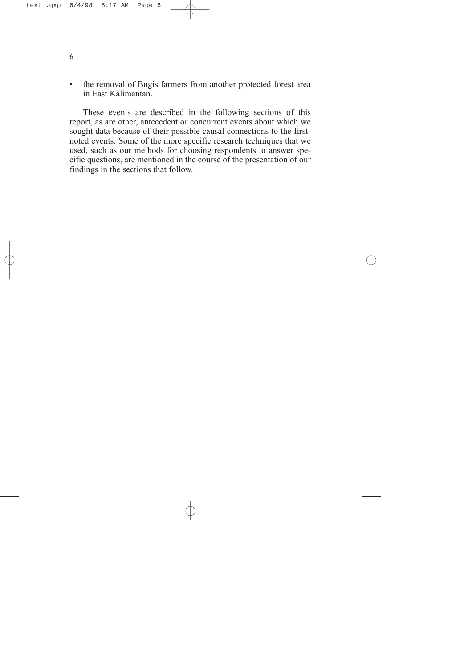• the removal of Bugis farmers from another protected forest area in East Kalimantan.

These events are described in the following sections of this report, as are other, antecedent or concurrent events about which we sought data because of their possible causal connections to the firstnoted events. Some of the more specific research techniques that we used, such as our methods for choosing respondents to answer specific questions, are mentioned in the course of the presentation of our findings in the sections that follow.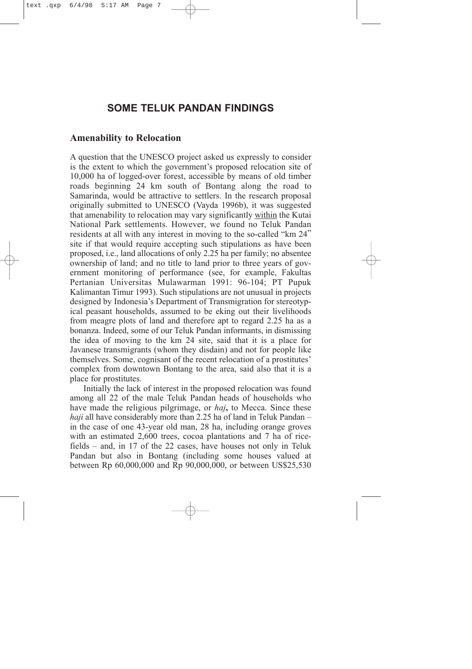## <span id="page-11-0"></span>**SOME TELUK PANDAN FINDINGS**

#### **Amenability to Relocation**

A question that the UNESCO project asked us expressly to consider is the extent to which the government's proposed relocation site of 10,000 ha of logged-over forest, accessible by means of old timber roads beginning 24 km south of Bontang along the road to Samarinda, would be attractive to settlers. In the research proposal originally submitted to UNESCO (Vayda 1996b), it was suggested that amenability to relocation may vary significantly within the Kutai National Park settlements. However, we found no Teluk Pandan residents at all with any interest in moving to the so-called "km 24" site if that would require accepting such stipulations as have been proposed, i.e., land allocations of only 2.25 ha per family; no absentee ownership of land; and no title to land prior to three years of government monitoring of performance (see, for example, Fakultas Pertanian Universitas Mulawarman 1991: 96-104; PT Pupuk Kalimantan Timur 1993). Such stipulations are not unusual in projects designed by Indonesia's Department of Transmigration for stereotypical peasant households, assumed to be eking out their livelihoods from meagre plots of land and therefore apt to regard 2.25 ha as a bonanza. Indeed, some of our Teluk Pandan informants, in dismissing the idea of moving to the km 24 site, said that it is a place for Javanese transmigrants (whom they disdain) and not for people like themselves. Some, cognisant of the recent relocation of a prostitutes' complex from downtown Bontang to the area, said also that it is a place for prostitutes.

Initially the lack of interest in the proposed relocation was found among all 22 of the male Teluk Pandan heads of households who have made the religious pilgrimage, or *haj***,** to Mecca. Since these *haji* all have considerably more than 2.25 ha of land in Teluk Pandan – in the case of one 43-year old man, 28 ha, including orange groves with an estimated 2,600 trees, cocoa plantations and 7 ha of ricefields – and, in 17 of the 22 cases, have houses not only in Teluk Pandan but also in Bontang (including some houses valued at between Rp 60,000,000 and Rp 90,000,000, or between US\$25,530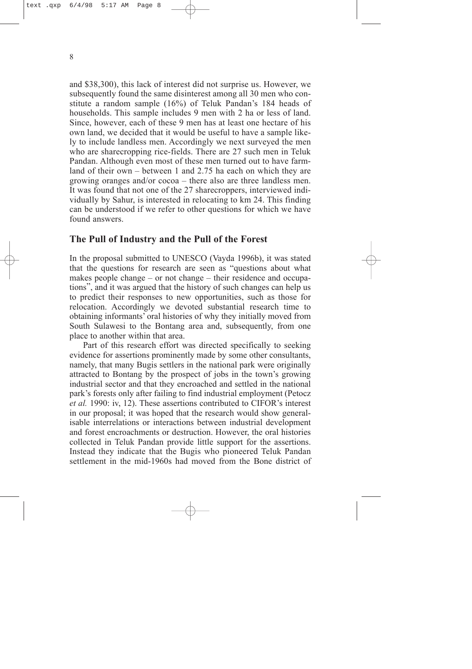<span id="page-12-0"></span>and \$38,300), this lack of interest did not surprise us. However, we subsequently found the same disinterest among all 30 men who constitute a random sample (16%) of Teluk Pandan's 184 heads of households. This sample includes 9 men with 2 ha or less of land. Since, however, each of these 9 men has at least one hectare of his own land, we decided that it would be useful to have a sample likely to include landless men. Accordingly we next surveyed the men who are sharecropping rice-fields. There are 27 such men in Teluk Pandan. Although even most of these men turned out to have farmland of their own – between 1 and 2.75 ha each on which they are growing oranges and/or cocoa – there also are three landless men. It was found that not one of the 27 sharecroppers, interviewed individually by Sahur, is interested in relocating to km 24. This finding can be understood if we refer to other questions for which we have found answers.

#### **The Pull of Industry and the Pull of the Forest**

In the proposal submitted to UNESCO (Vayda 1996b), it was stated that the questions for research are seen as "questions about what makes people change – or not change – their residence and occupations", and it was argued that the history of such changes can help us to predict their responses to new opportunities, such as those for relocation. Accordingly we devoted substantial research time to obtaining informants' oral histories of why they initially moved from South Sulawesi to the Bontang area and, subsequently, from one place to another within that area.

Part of this research effort was directed specifically to seeking evidence for assertions prominently made by some other consultants, namely, that many Bugis settlers in the national park were originally attracted to Bontang by the prospect of jobs in the town's growing industrial sector and that they encroached and settled in the national park's forests only after failing to find industrial employment (Petocz *et al.* 1990: iv, 12). These assertions contributed to CIFOR's interest in our proposal; it was hoped that the research would show generalisable interrelations or interactions between industrial development and forest encroachments or destruction. However, the oral histories collected in Teluk Pandan provide little support for the assertions. Instead they indicate that the Bugis who pioneered Teluk Pandan settlement in the mid-1960s had moved from the Bone district of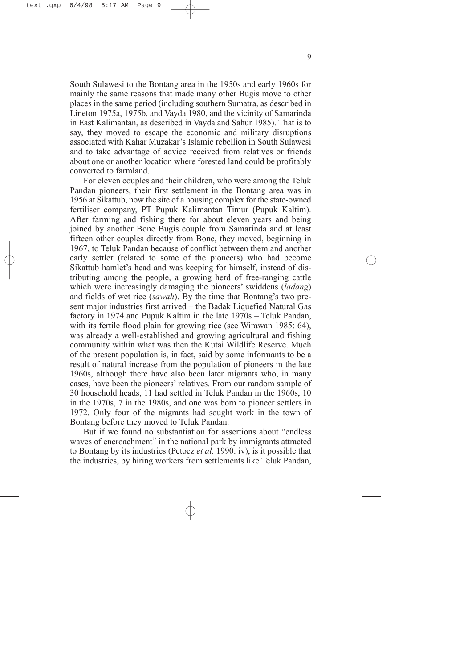South Sulawesi to the Bontang area in the 1950s and early 1960s for mainly the same reasons that made many other Bugis move to other places in the same period (including southern Sumatra, as described in Lineton 1975a, 1975b, and Vayda 1980, and the vicinity of Samarinda in East Kalimantan, as described in Vayda and Sahur 1985). That is to say, they moved to escape the economic and military disruptions associated with Kahar Muzakar's Islamic rebellion in South Sulawesi and to take advantage of advice received from relatives or friends about one or another location where forested land could be profitably converted to farmland.

For eleven couples and their children, who were among the Teluk Pandan pioneers, their first settlement in the Bontang area was in 1956 at Sikattub, now the site of a housing complex for the state-owned fertiliser company, PT Pupuk Kalimantan Timur (Pupuk Kaltim). After farming and fishing there for about eleven years and being joined by another Bone Bugis couple from Samarinda and at least fifteen other couples directly from Bone, they moved, beginning in 1967, to Teluk Pandan because of conflict between them and another early settler (related to some of the pioneers) who had become Sikattub hamlet's head and was keeping for himself, instead of distributing among the people, a growing herd of free-ranging cattle which were increasingly damaging the pioneers' swiddens (*ladang*) and fields of wet rice (*sawah*). By the time that Bontang's two present major industries first arrived – the Badak Liquefied Natural Gas factory in 1974 and Pupuk Kaltim in the late 1970s – Teluk Pandan, with its fertile flood plain for growing rice (see Wirawan 1985: 64), was already a well-established and growing agricultural and fishing community within what was then the Kutai Wildlife Reserve. Much of the present population is, in fact, said by some informants to be a result of natural increase from the population of pioneers in the late 1960s, although there have also been later migrants who, in many cases, have been the pioneers' relatives. From our random sample of 30 household heads, 11 had settled in Teluk Pandan in the 1960s, 10 in the 1970s, 7 in the 1980s, and one was born to pioneer settlers in 1972. Only four of the migrants had sought work in the town of Bontang before they moved to Teluk Pandan.

But if we found no substantiation for assertions about "endless waves of encroachment" in the national park by immigrants attracted to Bontang by its industries (Petocz *et al*. 1990: iv), is it possible that the industries, by hiring workers from settlements like Teluk Pandan,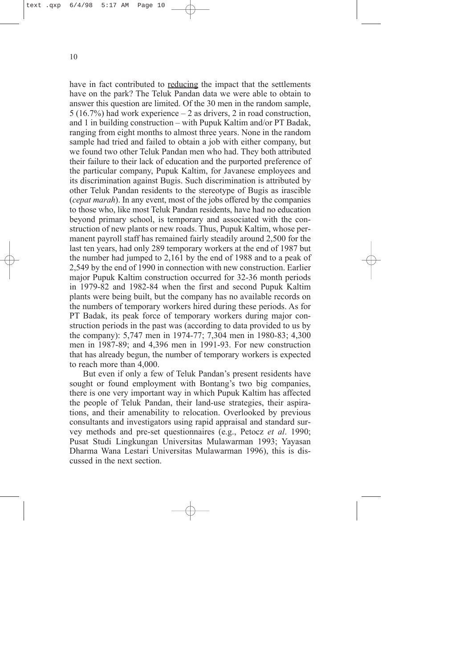have in fact contributed to reducing the impact that the settlements have on the park? The Teluk Pandan data we were able to obtain to answer this question are limited. Of the 30 men in the random sample, 5 (16.7%) had work experience – 2 as drivers, 2 in road construction, and 1 in building construction – with Pupuk Kaltim and/or PT Badak, ranging from eight months to almost three years. None in the random sample had tried and failed to obtain a job with either company, but we found two other Teluk Pandan men who had. They both attributed their failure to their lack of education and the purported preference of the particular company, Pupuk Kaltim, for Javanese employees and its discrimination against Bugis. Such discrimination is attributed by other Teluk Pandan residents to the stereotype of Bugis as irascible (*cepat marah*). In any event, most of the jobs offered by the companies to those who, like most Teluk Pandan residents, have had no education beyond primary school, is temporary and associated with the construction of new plants or new roads. Thus, Pupuk Kaltim, whose permanent payroll staff has remained fairly steadily around 2,500 for the last ten years, had only 289 temporary workers at the end of 1987 but the number had jumped to 2,161 by the end of 1988 and to a peak of 2,549 by the end of 1990 in connection with new construction. Earlier major Pupuk Kaltim construction occurred for 32-36 month periods in 1979-82 and 1982-84 when the first and second Pupuk Kaltim plants were being built, but the company has no available records on the numbers of temporary workers hired during these periods. As for PT Badak, its peak force of temporary workers during major construction periods in the past was (according to data provided to us by the company): 5,747 men in 1974-77; 7,304 men in 1980-83; 4,300 men in 1987-89; and 4,396 men in 1991-93. For new construction that has already begun, the number of temporary workers is expected to reach more than 4,000.

But even if only a few of Teluk Pandan's present residents have sought or found employment with Bontang's two big companies, there is one very important way in which Pupuk Kaltim has affected the people of Teluk Pandan, their land-use strategies, their aspirations, and their amenability to relocation. Overlooked by previous consultants and investigators using rapid appraisal and standard survey methods and pre-set questionnaires (e.g., Petocz *et al*. 1990; Pusat Studi Lingkungan Universitas Mulawarman 1993; Yayasan Dharma Wana Lestari Universitas Mulawarman 1996), this is discussed in the next section.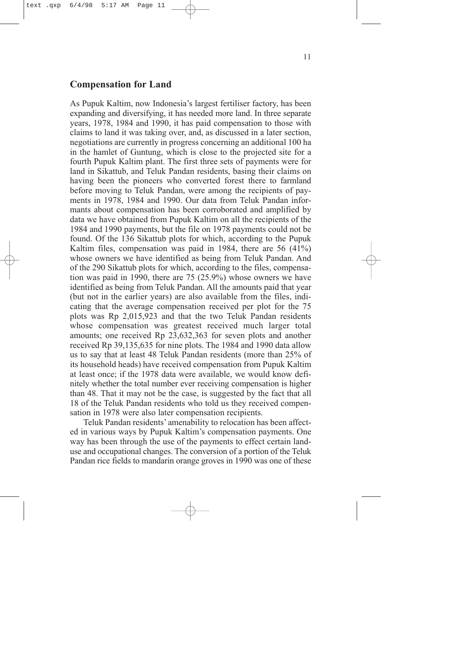#### <span id="page-15-0"></span>**Compensation for Land**

As Pupuk Kaltim, now Indonesia's largest fertiliser factory, has been expanding and diversifying, it has needed more land. In three separate years, 1978, 1984 and 1990, it has paid compensation to those with claims to land it was taking over, and, as discussed in a later section, negotiations are currently in progress concerning an additional 100 ha in the hamlet of Guntung, which is close to the projected site for a fourth Pupuk Kaltim plant. The first three sets of payments were for land in Sikattub, and Teluk Pandan residents, basing their claims on having been the pioneers who converted forest there to farmland before moving to Teluk Pandan, were among the recipients of payments in 1978, 1984 and 1990. Our data from Teluk Pandan informants about compensation has been corroborated and amplified by data we have obtained from Pupuk Kaltim on all the recipients of the 1984 and 1990 payments, but the file on 1978 payments could not be found. Of the 136 Sikattub plots for which, according to the Pupuk Kaltim files, compensation was paid in 1984, there are 56 (41%) whose owners we have identified as being from Teluk Pandan. And of the 290 Sikattub plots for which, according to the files, compensation was paid in 1990, there are 75 (25.9%) whose owners we have identified as being from Teluk Pandan. All the amounts paid that year (but not in the earlier years) are also available from the files, indicating that the average compensation received per plot for the 75 plots was Rp 2,015,923 and that the two Teluk Pandan residents whose compensation was greatest received much larger total amounts; one received Rp 23,632,363 for seven plots and another received Rp 39,135,635 for nine plots. The 1984 and 1990 data allow us to say that at least 48 Teluk Pandan residents (more than 25% of its household heads) have received compensation from Pupuk Kaltim at least once; if the 1978 data were available, we would know definitely whether the total number ever receiving compensation is higher than 48. That it may not be the case, is suggested by the fact that all 18 of the Teluk Pandan residents who told us they received compensation in 1978 were also later compensation recipients.

Teluk Pandan residents' amenability to relocation has been affected in various ways by Pupuk Kaltim's compensation payments. One way has been through the use of the payments to effect certain landuse and occupational changes. The conversion of a portion of the Teluk Pandan rice fields to mandarin orange groves in 1990 was one of these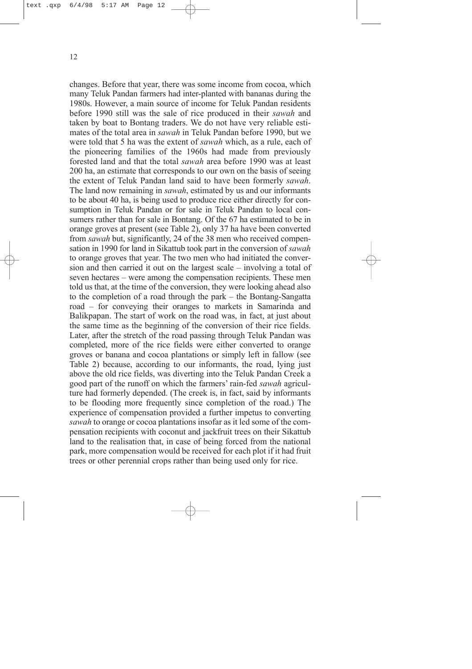changes. Before that year, there was some income from cocoa, which many Teluk Pandan farmers had inter-planted with bananas during the 1980s. However, a main source of income for Teluk Pandan residents before 1990 still was the sale of rice produced in their *sawah* and taken by boat to Bontang traders. We do not have very reliable estimates of the total area in *sawah* in Teluk Pandan before 1990, but we were told that 5 ha was the extent of *sawah* which, as a rule, each of the pioneering families of the 1960s had made from previously forested land and that the total *sawah* area before 1990 was at least 200 ha, an estimate that corresponds to our own on the basis of seeing the extent of Teluk Pandan land said to have been formerly *sawah*. The land now remaining in *sawah*, estimated by us and our informants to be about 40 ha, is being used to produce rice either directly for consumption in Teluk Pandan or for sale in Teluk Pandan to local consumers rather than for sale in Bontang. Of the 67 ha estimated to be in orange groves at present (see Table 2), only 37 ha have been converted from *sawah* but, significantly, 24 of the 38 men who received compensation in 1990 for land in Sikattub took part in the conversion of *sawah* to orange groves that year. The two men who had initiated the conversion and then carried it out on the largest scale – involving a total of seven hectares – were among the compensation recipients. These men told us that, at the time of the conversion, they were looking ahead also to the completion of a road through the park – the Bontang-Sangatta road – for conveying their oranges to markets in Samarinda and Balikpapan. The start of work on the road was, in fact, at just about the same time as the beginning of the conversion of their rice fields. Later, after the stretch of the road passing through Teluk Pandan was completed, more of the rice fields were either converted to orange groves or banana and cocoa plantations or simply left in fallow (see Table 2) because, according to our informants, the road, lying just above the old rice fields, was diverting into the Teluk Pandan Creek a good part of the runoff on which the farmers' rain-fed *sawah* agriculture had formerly depended. (The creek is, in fact, said by informants to be flooding more frequently since completion of the road.) The experience of compensation provided a further impetus to converting *sawah* to orange or cocoa plantations insofar as it led some of the compensation recipients with coconut and jackfruit trees on their Sikattub

park, more compensation would be received for each plot if it had fruit trees or other perennial crops rather than being used only for rice.

land to the realisation that, in case of being forced from the national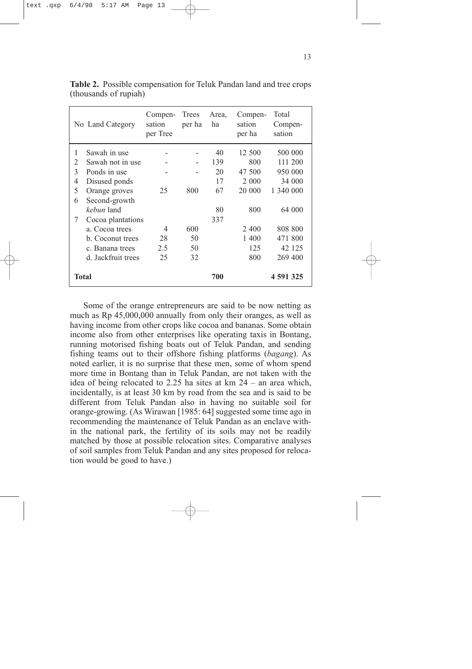|                | No Land Category   | Compen-<br>sation<br>per Tree | Trees<br>per ha | Area,<br>ha | Compen-<br>sation<br>per ha | Total<br>Compen-<br>sation |
|----------------|--------------------|-------------------------------|-----------------|-------------|-----------------------------|----------------------------|
| 1              | Sawah in use       |                               |                 | 40          | 12 500                      | 500 000                    |
| $\mathfrak{D}$ | Sawah not in use   |                               |                 | 139         | 800                         | 111 200                    |
| 3              | Ponds in use       |                               |                 | 20          | 47 500                      | 950 000                    |
| $\overline{4}$ | Disused ponds      |                               |                 | 17          | 2 0 0 0                     | 34 000                     |
| 5              | Orange groves      | 25                            | 800             | 67          | 20 000                      | 1 340 000                  |
| 6              | Second-growth      |                               |                 |             |                             |                            |
|                | kebun land         |                               |                 | 80          | 800                         | 64 000                     |
| 7              | Cocoa plantations  |                               |                 | 337         |                             |                            |
|                | a. Cocoa trees     | 4                             | 600             |             | 2400                        | 808 800                    |
|                | b. Coconut trees   | 28                            | 50              |             | 1 400                       | 471 800                    |
|                | c. Banana trees    | 2.5                           | 50              |             | 125                         | 42 125                     |
|                | d. Jackfruit trees | 25                            | 32              |             | 800                         | 269 400                    |
|                | Total              |                               |                 | 700         |                             | 4 591 325                  |

**Table 2.** Possible compensation for Teluk Pandan land and tree crops (thousands of rupiah)

Some of the orange entrepreneurs are said to be now netting as much as Rp 45,000,000 annually from only their oranges, as well as having income from other crops like cocoa and bananas. Some obtain income also from other enterprises like operating taxis in Bontang, running motorised fishing boats out of Teluk Pandan, and sending fishing teams out to their offshore fishing platforms (*bagang*). As noted earlier, it is no surprise that these men, some of whom spend more time in Bontang than in Teluk Pandan, are not taken with the idea of being relocated to 2.25 ha sites at km 24 – an area which, incidentally, is at least 30 km by road from the sea and is said to be different from Teluk Pandan also in having no suitable soil for orange-growing. (As Wirawan [1985: 64] suggested some time ago in recommending the maintenance of Teluk Pandan as an enclave within the national park, the fertility of its soils may not be readily matched by those at possible relocation sites. Comparative analyses of soil samples from Teluk Pandan and any sites proposed for relocation would be good to have.)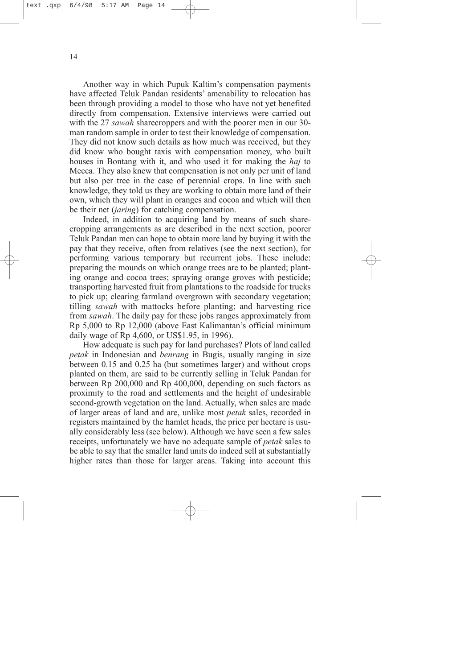Another way in which Pupuk Kaltim's compensation payments have affected Teluk Pandan residents' amenability to relocation has been through providing a model to those who have not yet benefited directly from compensation. Extensive interviews were carried out with the 27 *sawah* sharecroppers and with the poorer men in our 30 man random sample in order to test their knowledge of compensation. They did not know such details as how much was received, but they did know who bought taxis with compensation money, who built houses in Bontang with it, and who used it for making the *haj* to Mecca. They also knew that compensation is not only per unit of land but also per tree in the case of perennial crops. In line with such knowledge, they told us they are working to obtain more land of their own, which they will plant in oranges and cocoa and which will then be their net (*jaring*) for catching compensation.

Indeed, in addition to acquiring land by means of such sharecropping arrangements as are described in the next section, poorer Teluk Pandan men can hope to obtain more land by buying it with the pay that they receive, often from relatives (see the next section), for performing various temporary but recurrent jobs. These include: preparing the mounds on which orange trees are to be planted; planting orange and cocoa trees; spraying orange groves with pesticide; transporting harvested fruit from plantations to the roadside for trucks to pick up; clearing farmland overgrown with secondary vegetation; tilling *sawah* with mattocks before planting; and harvesting rice from *sawah*. The daily pay for these jobs ranges approximately from Rp 5,000 to Rp 12,000 (above East Kalimantan's official minimum daily wage of Rp 4,600, or US\$1.95, in 1996).

How adequate is such pay for land purchases? Plots of land called *petak* in Indonesian and *benrang* in Bugis, usually ranging in size between 0.15 and 0.25 ha (but sometimes larger) and without crops planted on them, are said to be currently selling in Teluk Pandan for between Rp 200,000 and Rp 400,000, depending on such factors as proximity to the road and settlements and the height of undesirable second-growth vegetation on the land. Actually, when sales are made of larger areas of land and are, unlike most *petak* sales, recorded in registers maintained by the hamlet heads, the price per hectare is usually considerably less (see below). Although we have seen a few sales receipts, unfortunately we have no adequate sample of *petak* sales to be able to say that the smaller land units do indeed sell at substantially higher rates than those for larger areas. Taking into account this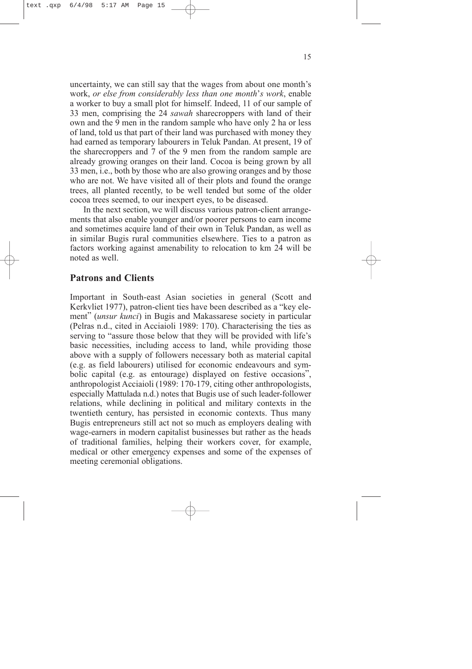<span id="page-19-0"></span>uncertainty, we can still say that the wages from about one month's work, *or else from considerably less than one month*'*s work*, enable a worker to buy a small plot for himself. Indeed, 11 of our sample of 33 men, comprising the 24 *sawah* sharecroppers with land of their own and the 9 men in the random sample who have only 2 ha or less of land, told us that part of their land was purchased with money they had earned as temporary labourers in Teluk Pandan. At present, 19 of the sharecroppers and 7 of the 9 men from the random sample are already growing oranges on their land. Cocoa is being grown by all 33 men, i.e., both by those who are also growing oranges and by those who are not. We have visited all of their plots and found the orange trees, all planted recently, to be well tended but some of the older cocoa trees seemed, to our inexpert eyes, to be diseased.

In the next section, we will discuss various patron-client arrangements that also enable younger and/or poorer persons to earn income and sometimes acquire land of their own in Teluk Pandan, as well as in similar Bugis rural communities elsewhere. Ties to a patron as factors working against amenability to relocation to km 24 will be noted as well.

## **Patrons and Clients**

Important in South-east Asian societies in general (Scott and Kerkvliet 1977), patron-client ties have been described as a "key element" (*unsur kunci*) in Bugis and Makassarese society in particular (Pelras n.d., cited in Acciaioli 1989: 170). Characterising the ties as serving to "assure those below that they will be provided with life's basic necessities, including access to land, while providing those above with a supply of followers necessary both as material capital (e.g. as field labourers) utilised for economic endeavours and symbolic capital (e.g. as entourage) displayed on festive occasions", anthropologist Acciaioli (1989: 170-179, citing other anthropologists, especially Mattulada n.d.) notes that Bugis use of such leader-follower relations, while declining in political and military contexts in the twentieth century, has persisted in economic contexts. Thus many Bugis entrepreneurs still act not so much as employers dealing with wage-earners in modern capitalist businesses but rather as the heads of traditional families, helping their workers cover, for example, medical or other emergency expenses and some of the expenses of meeting ceremonial obligations.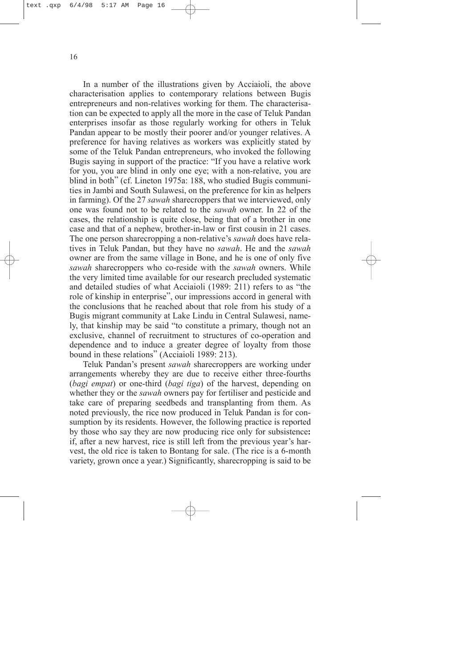In a number of the illustrations given by Acciaioli, the above characterisation applies to contemporary relations between Bugis entrepreneurs and non-relatives working for them. The characterisation can be expected to apply all the more in the case of Teluk Pandan enterprises insofar as those regularly working for others in Teluk Pandan appear to be mostly their poorer and/or younger relatives. A preference for having relatives as workers was explicitly stated by some of the Teluk Pandan entrepreneurs, who invoked the following Bugis saying in support of the practice: "If you have a relative work for you, you are blind in only one eye; with a non-relative, you are blind in both" (cf. Lineton 1975a: 188, who studied Bugis communities in Jambi and South Sulawesi, on the preference for kin as helpers in farming). Of the 27 *sawah* sharecroppers that we interviewed, only one was found not to be related to the *sawah* owner. In 22 of the cases, the relationship is quite close, being that of a brother in one case and that of a nephew, brother-in-law or first cousin in 21 cases. The one person sharecropping a non-relative's *sawah* does have relatives in Teluk Pandan, but they have no *sawah*. He and the *sawah* owner are from the same village in Bone, and he is one of only five *sawah* sharecroppers who co-reside with the *sawah* owners. While the very limited time available for our research precluded systematic and detailed studies of what Acciaioli (1989: 211) refers to as "the role of kinship in enterprise", our impressions accord in general with the conclusions that he reached about that role from his study of a Bugis migrant community at Lake Lindu in Central Sulawesi, namely, that kinship may be said "to constitute a primary, though not an exclusive, channel of recruitment to structures of co-operation and dependence and to induce a greater degree of loyalty from those bound in these relations" (Acciaioli 1989: 213).

Teluk Pandan's present *sawah* sharecroppers are working under arrangements whereby they are due to receive either three-fourths (*bagi empat*) or one-third (*bagi tiga*) of the harvest, depending on whether they or the *sawah* owners pay for fertiliser and pesticide and take care of preparing seedbeds and transplanting from them. As noted previously, the rice now produced in Teluk Pandan is for consumption by its residents. However, the following practice is reported by those who say they are now producing rice only for subsistence**:** if, after a new harvest, rice is still left from the previous year's harvest, the old rice is taken to Bontang for sale. (The rice is a 6-month variety, grown once a year.) Significantly, sharecropping is said to be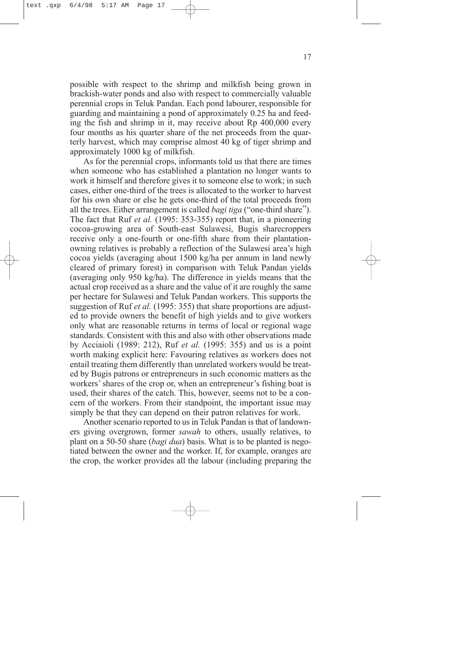possible with respect to the shrimp and milkfish being grown in brackish-water ponds and also with respect to commercially valuable perennial crops in Teluk Pandan. Each pond labourer, responsible for guarding and maintaining a pond of approximately 0.25 ha and feeding the fish and shrimp in it, may receive about Rp 400,000 every four months as his quarter share of the net proceeds from the quarterly harvest, which may comprise almost 40 kg of tiger shrimp and approximately 1000 kg of milkfish.

As for the perennial crops, informants told us that there are times when someone who has established a plantation no longer wants to work it himself and therefore gives it to someone else to work; in such cases, either one-third of the trees is allocated to the worker to harvest for his own share or else he gets one-third of the total proceeds from all the trees. Either arrangement is called *bagi tiga* ("one-third share"). The fact that Ruf *et al.* (1995: 353-355) report that, in a pioneering cocoa-growing area of South-east Sulawesi, Bugis sharecroppers receive only a one-fourth or one-fifth share from their plantationowning relatives is probably a reflection of the Sulawesi area's high cocoa yields (averaging about 1500 kg/ha per annum in land newly cleared of primary forest) in comparison with Teluk Pandan yields (averaging only 950 kg/ha). The difference in yields means that the actual crop received as a share and the value of it are roughly the same per hectare for Sulawesi and Teluk Pandan workers. This supports the suggestion of Ruf *et al.* (1995: 355) that share proportions are adjusted to provide owners the benefit of high yields and to give workers only what are reasonable returns in terms of local or regional wage standards. Consistent with this and also with other observations made by Acciaioli (1989: 212), Ruf *et al.* (1995: 355) and us is a point worth making explicit here: Favouring relatives as workers does not entail treating them differently than unrelated workers would be treated by Bugis patrons or entrepreneurs in such economic matters as the workers'shares of the crop or, when an entrepreneur's fishing boat is used, their shares of the catch. This, however, seems not to be a concern of the workers. From their standpoint, the important issue may simply be that they can depend on their patron relatives for work.

Another scenario reported to us in Teluk Pandan is that of landowners giving overgrown, former *sawah* to others, usually relatives, to plant on a 50-50 share (*bagi dua*) basis. What is to be planted is negotiated between the owner and the worker. If, for example, oranges are the crop, the worker provides all the labour (including preparing the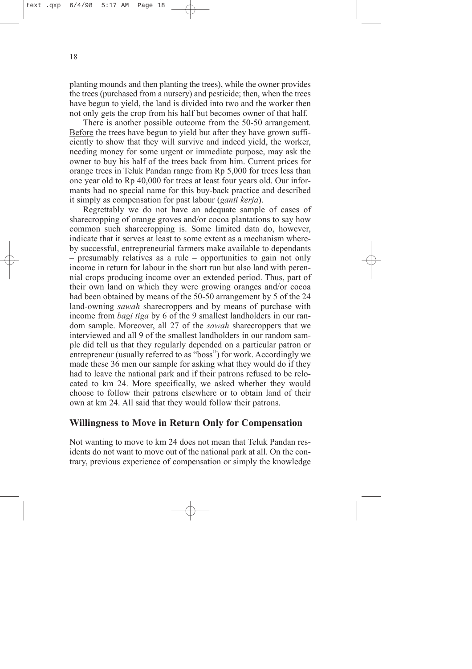<span id="page-22-0"></span>planting mounds and then planting the trees), while the owner provides the trees (purchased from a nursery) and pesticide; then, when the trees have begun to yield, the land is divided into two and the worker then not only gets the crop from his half but becomes owner of that half.

There is another possible outcome from the 50-50 arrangement. Before the trees have begun to yield but after they have grown sufficiently to show that they will survive and indeed yield, the worker, needing money for some urgent or immediate purpose, may ask the owner to buy his half of the trees back from him. Current prices for orange trees in Teluk Pandan range from Rp 5,000 for trees less than one year old to Rp 40,000 for trees at least four years old. Our informants had no special name for this buy-back practice and described it simply as compensation for past labour (*ganti kerja*).

Regrettably we do not have an adequate sample of cases of sharecropping of orange groves and/or cocoa plantations to say how common such sharecropping is. Some limited data do, however, indicate that it serves at least to some extent as a mechanism whereby successful, entrepreneurial farmers make available to dependants – presumably relatives as a rule – opportunities to gain not only income in return for labour in the short run but also land with perennial crops producing income over an extended period. Thus, part of their own land on which they were growing oranges and/or cocoa had been obtained by means of the 50-50 arrangement by 5 of the 24 land-owning *sawah* sharecroppers and by means of purchase with income from *bagi tiga* by 6 of the 9 smallest landholders in our random sample. Moreover, all 27 of the *sawah* sharecroppers that we interviewed and all 9 of the smallest landholders in our random sample did tell us that they regularly depended on a particular patron or entrepreneur (usually referred to as "boss") for work. Accordingly we made these 36 men our sample for asking what they would do if they had to leave the national park and if their patrons refused to be relocated to km 24. More specifically, we asked whether they would choose to follow their patrons elsewhere or to obtain land of their own at km 24. All said that they would follow their patrons.

#### **Willingness to Move in Return Only for Compensation**

Not wanting to move to km 24 does not mean that Teluk Pandan residents do not want to move out of the national park at all. On the contrary, previous experience of compensation or simply the knowledge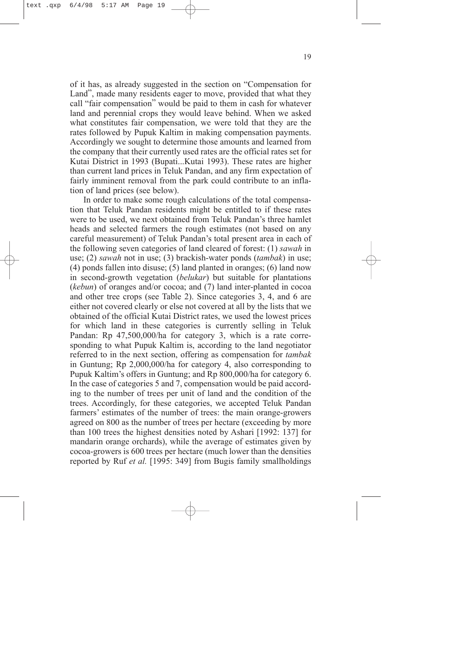of it has, as already suggested in the section on "Compensation for Land", made many residents eager to move, provided that what they call "fair compensation" would be paid to them in cash for whatever land and perennial crops they would leave behind. When we asked what constitutes fair compensation, we were told that they are the rates followed by Pupuk Kaltim in making compensation payments. Accordingly we sought to determine those amounts and learned from the company that their currently used rates are the official rates set for Kutai District in 1993 (Bupati...Kutai 1993). These rates are higher than current land prices in Teluk Pandan, and any firm expectation of fairly imminent removal from the park could contribute to an inflation of land prices (see below).

In order to make some rough calculations of the total compensation that Teluk Pandan residents might be entitled to if these rates were to be used, we next obtained from Teluk Pandan's three hamlet heads and selected farmers the rough estimates (not based on any careful measurement) of Teluk Pandan's total present area in each of the following seven categories of land cleared of forest: (1) *sawah* in use; (2) *sawah* not in use; (3) brackish-water ponds (*tambak*) in use; (4) ponds fallen into disuse; (5) land planted in oranges; (6) land now in second-growth vegetation (*belukar*) but suitable for plantations (*kebun*) of oranges and/or cocoa; and (7) land inter-planted in cocoa and other tree crops (see Table 2). Since categories 3, 4, and 6 are either not covered clearly or else not covered at all by the lists that we obtained of the official Kutai District rates, we used the lowest prices for which land in these categories is currently selling in Teluk Pandan: Rp 47,500,000/ha for category 3, which is a rate corresponding to what Pupuk Kaltim is, according to the land negotiator referred to in the next section, offering as compensation for *tambak* in Guntung; Rp 2,000,000/ha for category 4, also corresponding to Pupuk Kaltim's offers in Guntung; and Rp 800,000/ha for category 6. In the case of categories 5 and 7, compensation would be paid according to the number of trees per unit of land and the condition of the trees. Accordingly, for these categories, we accepted Teluk Pandan farmers' estimates of the number of trees: the main orange-growers agreed on 800 as the number of trees per hectare (exceeding by more than 100 trees the highest densities noted by Ashari [1992: 137] for mandarin orange orchards), while the average of estimates given by cocoa-growers is 600 trees per hectare (much lower than the densities reported by Ruf *et al.* [1995: 349] from Bugis family smallholdings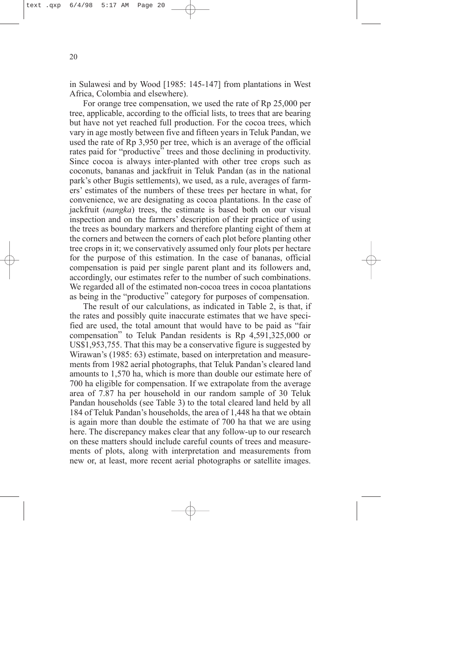in Sulawesi and by Wood [1985: 145-147] from plantations in West Africa, Colombia and elsewhere).

For orange tree compensation, we used the rate of Rp 25,000 per tree, applicable, according to the official lists, to trees that are bearing but have not yet reached full production. For the cocoa trees, which vary in age mostly between five and fifteen years in Teluk Pandan, we used the rate of Rp 3,950 per tree, which is an average of the official rates paid for "productive" trees and those declining in productivity. Since cocoa is always inter-planted with other tree crops such as coconuts, bananas and jackfruit in Teluk Pandan (as in the national park's other Bugis settlements), we used, as a rule, averages of farmers' estimates of the numbers of these trees per hectare in what, for convenience, we are designating as cocoa plantations. In the case of jackfruit (*nangka*) trees, the estimate is based both on our visual inspection and on the farmers' description of their practice of using the trees as boundary markers and therefore planting eight of them at the corners and between the corners of each plot before planting other tree crops in it; we conservatively assumed only four plots per hectare for the purpose of this estimation. In the case of bananas, official compensation is paid per single parent plant and its followers and, accordingly, our estimates refer to the number of such combinations. We regarded all of the estimated non-cocoa trees in cocoa plantations as being in the "productive" category for purposes of compensation.

The result of our calculations, as indicated in Table 2, is that, if the rates and possibly quite inaccurate estimates that we have specified are used, the total amount that would have to be paid as "fair compensation" to Teluk Pandan residents is Rp 4,591,325,000 or US\$1,953,755. That this may be a conservative figure is suggested by Wirawan's (1985: 63) estimate, based on interpretation and measurements from 1982 aerial photographs, that Teluk Pandan's cleared land amounts to 1,570 ha, which is more than double our estimate here of 700 ha eligible for compensation. If we extrapolate from the average area of 7.87 ha per household in our random sample of 30 Teluk Pandan households (see Table 3) to the total cleared land held by all 184 of Teluk Pandan's households, the area of 1,448 ha that we obtain is again more than double the estimate of 700 ha that we are using here. The discrepancy makes clear that any follow-up to our research on these matters should include careful counts of trees and measurements of plots, along with interpretation and measurements from new or, at least, more recent aerial photographs or satellite images.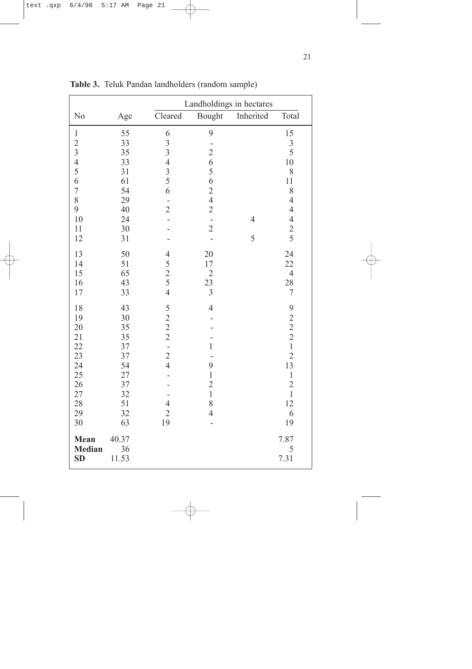|                                    |                      | Landholdings in hectares                   |                |                |                                                 |  |
|------------------------------------|----------------------|--------------------------------------------|----------------|----------------|-------------------------------------------------|--|
| N <sub>o</sub>                     | Age                  | Cleared                                    | Bought         | Inherited      | Total                                           |  |
| $\mathbf{1}$                       | 55                   | 6                                          | 9              |                | 15                                              |  |
| $\overline{c}$                     | 33                   | $\frac{3}{3}$                              |                |                | $\overline{\mathbf{3}}$                         |  |
| $\overline{3}$                     | 35                   |                                            | $\overline{c}$ |                | 5                                               |  |
| $\overline{4}$                     | 33                   | $\overline{4}$                             | 6              |                | 10                                              |  |
| 5                                  | 31                   | $rac{3}{5}$                                | 5              |                | 8                                               |  |
| 6                                  | 61                   |                                            | 6              |                | 11                                              |  |
| $\overline{7}$                     | 54                   | 6                                          | $\frac{2}{4}$  |                | 8                                               |  |
| 8                                  | 29                   |                                            |                |                | $\overline{4}$                                  |  |
| 9                                  | 40                   | $\overline{2}$                             | $\overline{2}$ |                | $\overline{4}$                                  |  |
| 10                                 | 24                   |                                            | $\frac{1}{2}$  | $\overline{4}$ |                                                 |  |
| $11\,$                             | 30                   |                                            |                |                | $\begin{array}{c} 4 \\ 2 \\ 5 \end{array}$      |  |
| 12                                 | 31                   |                                            |                | 5              |                                                 |  |
| 13                                 | 50                   | $\overline{4}$                             | 20             |                | 24                                              |  |
| 14                                 | 51                   | 5                                          | 17             |                | 22                                              |  |
| 15                                 | 65                   | $rac{2}{5}$                                | $\overline{2}$ |                | $\overline{4}$                                  |  |
| 16                                 | 43                   |                                            | 23             |                | 28                                              |  |
| 17                                 | 33                   | $\overline{4}$                             | $\overline{3}$ |                | $\sqrt{ }$                                      |  |
| 18                                 | 43                   | $\begin{array}{c} 5 \\ 2 \\ 2 \end{array}$ | $\overline{4}$ |                |                                                 |  |
| 19                                 | 30                   |                                            |                |                | $\begin{array}{c} 9 \\ 2 \\ 2 \\ 1 \end{array}$ |  |
| 20                                 | 35                   |                                            |                |                |                                                 |  |
| 21                                 | 35                   |                                            |                |                |                                                 |  |
| 22                                 | 37                   | $\overline{a}$                             | $\mathbf{1}$   |                |                                                 |  |
| 23                                 | 37                   | $\frac{2}{4}$                              |                |                | $\overline{2}$                                  |  |
| 24                                 | 54                   |                                            | 9              |                | 13                                              |  |
| 25                                 | 27<br>37             |                                            | $\,1$          |                | $\,1\,$                                         |  |
| 26<br>27                           | 32                   |                                            | $\frac{2}{1}$  |                | $\overline{c}$<br>$\mathbf{1}$                  |  |
| 28                                 | 51                   | $\overline{4}$                             | 8              |                | 12                                              |  |
| 29                                 | 32                   | $\overline{2}$                             | $\overline{4}$ |                | 6                                               |  |
| 30                                 | 63                   | 19                                         |                |                | 19                                              |  |
| Mean<br><b>Median</b><br><b>SD</b> | 40.37<br>36<br>11.53 |                                            |                |                | 7.87<br>5<br>7.31                               |  |

**Table 3.**  Teluk Pandan landholders (random sample)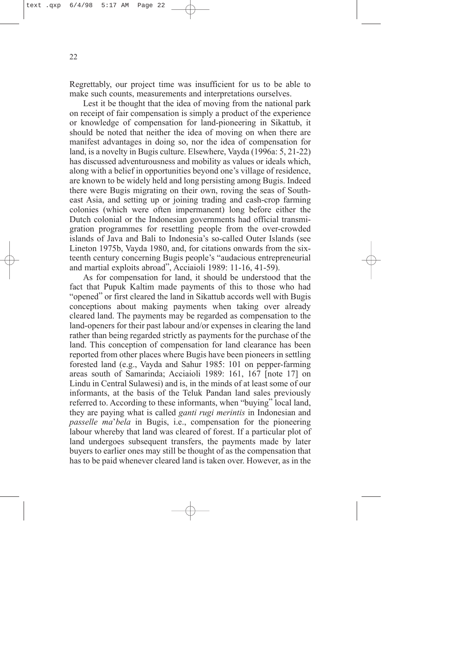Regrettably, our project time was insufficient for us to be able to make such counts, measurements and interpretations ourselves.

Lest it be thought that the idea of moving from the national park on receipt of fair compensation is simply a product of the experience or knowledge of compensation for land-pioneering in Sikattub, it should be noted that neither the idea of moving on when there are manifest advantages in doing so, nor the idea of compensation for land, is a novelty in Bugis culture. Elsewhere, Vayda (1996a: 5, 21-22) has discussed adventurousness and mobility as values or ideals which, along with a belief in opportunities beyond one's village of residence, are known to be widely held and long persisting among Bugis. Indeed there were Bugis migrating on their own, roving the seas of Southeast Asia, and setting up or joining trading and cash-crop farming colonies (which were often impermanent) long before either the Dutch colonial or the Indonesian governments had official transmigration programmes for resettling people from the over-crowded islands of Java and Bali to Indonesia's so-called Outer Islands (see Lineton 1975b, Vayda 1980, and, for citations onwards from the sixteenth century concerning Bugis people's "audacious entrepreneurial and martial exploits abroad", Acciaioli 1989: 11-16, 41-59).

As for compensation for land, it should be understood that the fact that Pupuk Kaltim made payments of this to those who had "opened" or first cleared the land in Sikattub accords well with Bugis conceptions about making payments when taking over already cleared land. The payments may be regarded as compensation to the land-openers for their past labour and/or expenses in clearing the land rather than being regarded strictly as payments for the purchase of the land. This conception of compensation for land clearance has been reported from other places where Bugis have been pioneers in settling forested land (e.g., Vayda and Sahur 1985: 101 on pepper-farming areas south of Samarinda; Acciaioli 1989: 161, 167 [note 17] on Lindu in Central Sulawesi) and is, in the minds of at least some of our informants, at the basis of the Teluk Pandan land sales previously referred to. According to these informants, when "buying" local land, they are paying what is called *ganti rugi merintis* in Indonesian and *passelle ma*'*bela* in Bugis, i.e., compensation for the pioneering labour whereby that land was cleared of forest. If a particular plot of land undergoes subsequent transfers, the payments made by later buyers to earlier ones may still be thought of as the compensation that has to be paid whenever cleared land is taken over. However, as in the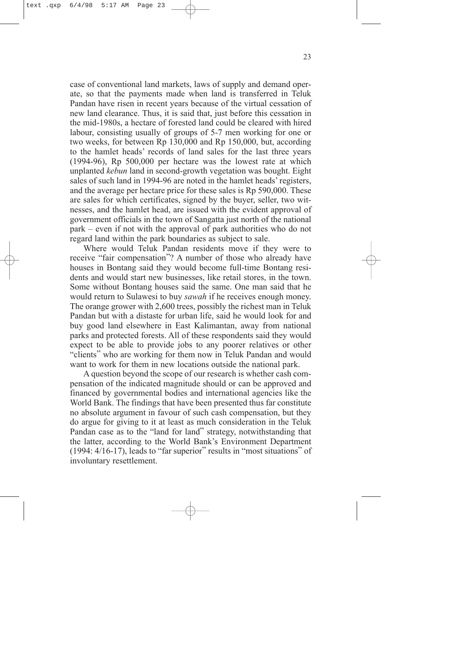case of conventional land markets, laws of supply and demand operate, so that the payments made when land is transferred in Teluk Pandan have risen in recent years because of the virtual cessation of new land clearance. Thus, it is said that, just before this cessation in the mid-1980s, a hectare of forested land could be cleared with hired labour, consisting usually of groups of 5-7 men working for one or two weeks, for between Rp 130,000 and Rp 150,000, but, according to the hamlet heads' records of land sales for the last three years (1994-96), Rp 500,000 per hectare was the lowest rate at which unplanted *kebun* land in second-growth vegetation was bought. Eight sales of such land in 1994-96 are noted in the hamlet heads'registers, and the average per hectare price for these sales is Rp 590,000. These are sales for which certificates, signed by the buyer, seller, two witnesses, and the hamlet head, are issued with the evident approval of government officials in the town of Sangatta just north of the national park – even if not with the approval of park authorities who do not regard land within the park boundaries as subject to sale.

Where would Teluk Pandan residents move if they were to receive "fair compensation"? A number of those who already have houses in Bontang said they would become full-time Bontang residents and would start new businesses, like retail stores, in the town. Some without Bontang houses said the same. One man said that he would return to Sulawesi to buy *sawah* if he receives enough money. The orange grower with 2,600 trees, possibly the richest man in Teluk Pandan but with a distaste for urban life, said he would look for and buy good land elsewhere in East Kalimantan, away from national parks and protected forests. All of these respondents said they would expect to be able to provide jobs to any poorer relatives or other "clients" who are working for them now in Teluk Pandan and would want to work for them in new locations outside the national park.

A question beyond the scope of our research is whether cash compensation of the indicated magnitude should or can be approved and financed by governmental bodies and international agencies like the World Bank. The findings that have been presented thus far constitute no absolute argument in favour of such cash compensation, but they do argue for giving to it at least as much consideration in the Teluk Pandan case as to the "land for land" strategy, notwithstanding that the latter, according to the World Bank's Environment Department (1994: 4/16-17), leads to "far superior" results in "most situations" of involuntary resettlement.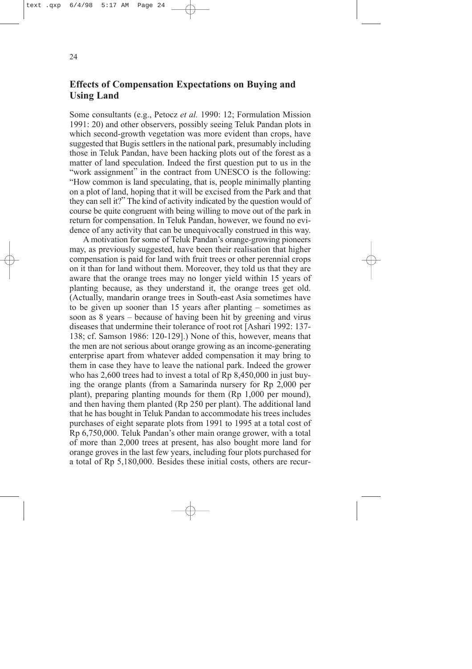## <span id="page-28-0"></span>**Effects of Compensation Expectations on Buying and Using Land**

Some consultants (e.g., Petocz *et al.* 1990: 12; Formulation Mission 1991: 20) and other observers, possibly seeing Teluk Pandan plots in which second-growth vegetation was more evident than crops, have suggested that Bugis settlers in the national park, presumably including those in Teluk Pandan, have been hacking plots out of the forest as a matter of land speculation. Indeed the first question put to us in the "work assignment" in the contract from UNESCO is the following: "How common is land speculating, that is, people minimally planting on a plot of land, hoping that it will be excised from the Park and that they can sell it?" The kind of activity indicated by the question would of course be quite congruent with being willing to move out of the park in return for compensation. In Teluk Pandan, however, we found no evidence of any activity that can be unequivocally construed in this way.

A motivation for some of Teluk Pandan's orange-growing pioneers may, as previously suggested, have been their realisation that higher compensation is paid for land with fruit trees or other perennial crops on it than for land without them. Moreover, they told us that they are aware that the orange trees may no longer yield within 15 years of planting because, as they understand it, the orange trees get old. (Actually, mandarin orange trees in South-east Asia sometimes have to be given up sooner than 15 years after planting – sometimes as soon as 8 years – because of having been hit by greening and virus diseases that undermine their tolerance of root rot [Ashari 1992: 137- 138; cf. Samson 1986: 120-129].) None of this, however, means that the men are not serious about orange growing as an income-generating enterprise apart from whatever added compensation it may bring to them in case they have to leave the national park. Indeed the grower who has 2,600 trees had to invest a total of  $Rp 8,450,000$  in just buying the orange plants (from a Samarinda nursery for Rp 2,000 per plant), preparing planting mounds for them (Rp 1,000 per mound), and then having them planted (Rp 250 per plant). The additional land that he has bought in Teluk Pandan to accommodate his trees includes purchases of eight separate plots from 1991 to 1995 at a total cost of Rp 6,750,000. Teluk Pandan's other main orange grower, with a total of more than 2,000 trees at present, has also bought more land for orange groves in the last few years, including four plots purchased for a total of Rp 5,180,000. Besides these initial costs, others are recur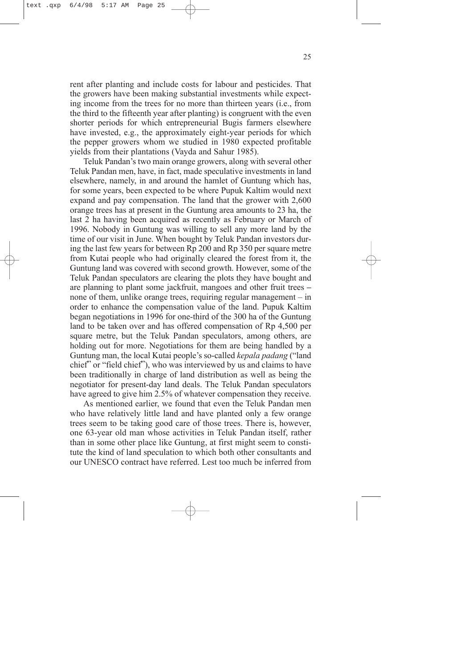rent after planting and include costs for labour and pesticides. That the growers have been making substantial investments while expecting income from the trees for no more than thirteen years (i.e., from the third to the fifteenth year after planting) is congruent with the even shorter periods for which entrepreneurial Bugis farmers elsewhere have invested, e.g., the approximately eight-year periods for which the pepper growers whom we studied in 1980 expected profitable yields from their plantations (Vayda and Sahur 1985).

Teluk Pandan's two main orange growers, along with several other Teluk Pandan men, have, in fact, made speculative investments in land elsewhere, namely, in and around the hamlet of Guntung which has, for some years, been expected to be where Pupuk Kaltim would next expand and pay compensation. The land that the grower with 2,600 orange trees has at present in the Guntung area amounts to 23 ha, the last 2 ha having been acquired as recently as February or March of 1996. Nobody in Guntung was willing to sell any more land by the time of our visit in June. When bought by Teluk Pandan investors during the last few years for between Rp 200 and Rp 350 per square metre from Kutai people who had originally cleared the forest from it, the Guntung land was covered with second growth. However, some of the Teluk Pandan speculators are clearing the plots they have bought and are planning to plant some jackfruit, mangoes and other fruit trees **–** none of them, unlike orange trees, requiring regular management – in order to enhance the compensation value of the land. Pupuk Kaltim began negotiations in 1996 for one-third of the 300 ha of the Guntung land to be taken over and has offered compensation of Rp 4,500 per square metre, but the Teluk Pandan speculators, among others, are holding out for more. Negotiations for them are being handled by a Guntung man, the local Kutai people's so-called *kepala padang* ("land chief" or "field chief"), who was interviewed by us and claims to have been traditionally in charge of land distribution as well as being the negotiator for present-day land deals. The Teluk Pandan speculators have agreed to give him 2.5% of whatever compensation they receive.

As mentioned earlier, we found that even the Teluk Pandan men who have relatively little land and have planted only a few orange trees seem to be taking good care of those trees. There is, however, one 63-year old man whose activities in Teluk Pandan itself, rather than in some other place like Guntung, at first might seem to constitute the kind of land speculation to which both other consultants and our UNESCO contract have referred. Lest too much be inferred from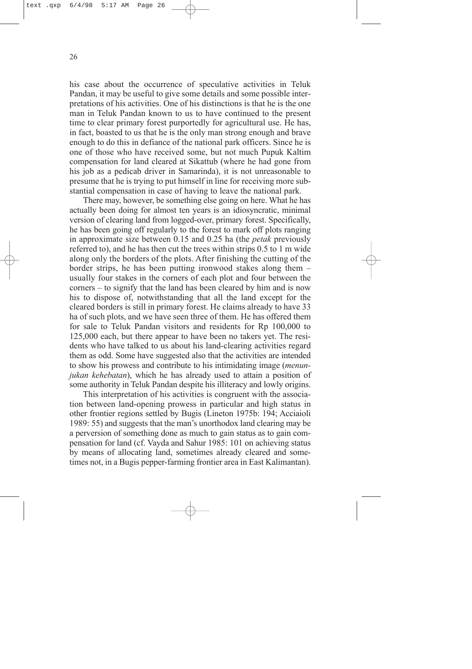his case about the occurrence of speculative activities in Teluk Pandan, it may be useful to give some details and some possible interpretations of his activities. One of his distinctions is that he is the one man in Teluk Pandan known to us to have continued to the present time to clear primary forest purportedly for agricultural use. He has, in fact, boasted to us that he is the only man strong enough and brave enough to do this in defiance of the national park officers. Since he is one of those who have received some, but not much Pupuk Kaltim compensation for land cleared at Sikattub (where he had gone from his job as a pedicab driver in Samarinda), it is not unreasonable to presume that he is trying to put himself in line for receiving more substantial compensation in case of having to leave the national park.

There may, however, be something else going on here. What he has actually been doing for almost ten years is an idiosyncratic, minimal version of clearing land from logged-over, primary forest. Specifically, he has been going off regularly to the forest to mark off plots ranging in approximate size between 0.15 and 0.25 ha (the *petak* previously referred to), and he has then cut the trees within strips 0.5 to 1 m wide along only the borders of the plots. After finishing the cutting of the border strips, he has been putting ironwood stakes along them – usually four stakes in the corners of each plot and four between the corners – to signify that the land has been cleared by him and is now his to dispose of, notwithstanding that all the land except for the cleared borders is still in primary forest. He claims already to have 33 ha of such plots, and we have seen three of them. He has offered them for sale to Teluk Pandan visitors and residents for Rp 100,000 to 125,000 each, but there appear to have been no takers yet. The residents who have talked to us about his land-clearing activities regard them as odd. Some have suggested also that the activities are intended to show his prowess and contribute to his intimidating image (*menunjukan kehebatan*), which he has already used to attain a position of some authority in Teluk Pandan despite his illiteracy and lowly origins.

This interpretation of his activities is congruent with the association between land-opening prowess in particular and high status in other frontier regions settled by Bugis (Lineton 1975b: 194; Acciaioli 1989: 55) and suggests that the man's unorthodox land clearing may be a perversion of something done as much to gain status as to gain compensation for land (cf. Vayda and Sahur 1985: 101 on achieving status by means of allocating land, sometimes already cleared and sometimes not, in a Bugis pepper-farming frontier area in East Kalimantan).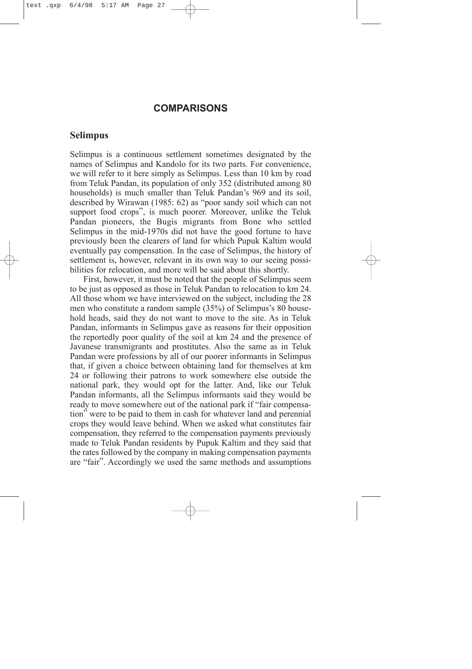### **COMPARISONS**

#### <span id="page-31-0"></span>**Selimpus**

Selimpus is a continuous settlement sometimes designated by the names of Selimpus and Kandolo for its two parts. For convenience, we will refer to it here simply as Selimpus. Less than 10 km by road from Teluk Pandan, its population of only 352 (distributed among 80 households) is much smaller than Teluk Pandan's 969 and its soil, described by Wirawan (1985: 62) as "poor sandy soil which can not support food crops", is much poorer. Moreover, unlike the Teluk Pandan pioneers, the Bugis migrants from Bone who settled Selimpus in the mid-1970s did not have the good fortune to have previously been the clearers of land for which Pupuk Kaltim would eventually pay compensation. In the case of Selimpus, the history of settlement is, however, relevant in its own way to our seeing possibilities for relocation, and more will be said about this shortly.

First, however, it must be noted that the people of Selimpus seem to be just as opposed as those in Teluk Pandan to relocation to km 24. All those whom we have interviewed on the subject, including the 28 men who constitute a random sample (35%) of Selimpus's 80 household heads, said they do not want to move to the site. As in Teluk Pandan, informants in Selimpus gave as reasons for their opposition the reportedly poor quality of the soil at km 24 and the presence of Javanese transmigrants and prostitutes. Also the same as in Teluk Pandan were professions by all of our poorer informants in Selimpus that, if given a choice between obtaining land for themselves at km 24 or following their patrons to work somewhere else outside the national park, they would opt for the latter. And, like our Teluk Pandan informants, all the Selimpus informants said they would be ready to move somewhere out of the national park if "fair compensation" were to be paid to them in cash for whatever land and perennial crops they would leave behind. When we asked what constitutes fair compensation, they referred to the compensation payments previously made to Teluk Pandan residents by Pupuk Kaltim and they said that the rates followed by the company in making compensation payments are "fair". Accordingly we used the same methods and assumptions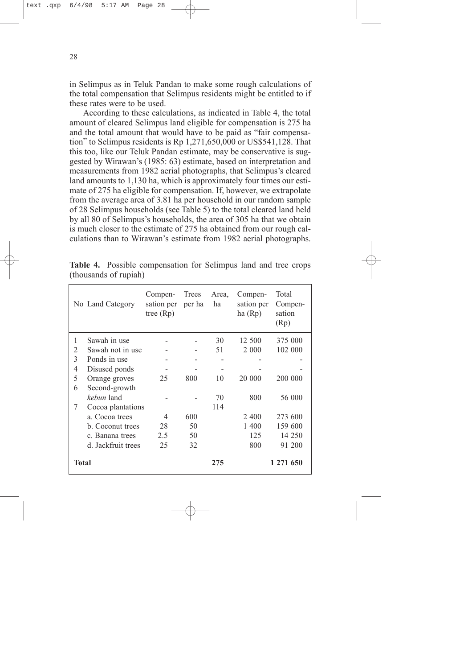in Selimpus as in Teluk Pandan to make some rough calculations of the total compensation that Selimpus residents might be entitled to if these rates were to be used.

According to these calculations, as indicated in Table 4, the total amount of cleared Selimpus land eligible for compensation is 275 ha and the total amount that would have to be paid as "fair compensation" to Selimpus residents is Rp 1,271,650,000 or US\$541,128. That this too, like our Teluk Pandan estimate, may be conservative is suggested by Wirawan's (1985: 63) estimate, based on interpretation and measurements from 1982 aerial photographs, that Selimpus's cleared land amounts to 1,130 ha, which is approximately four times our estimate of 275 ha eligible for compensation. If, however, we extrapolate from the average area of 3.81 ha per household in our random sample of 28 Selimpus households (see Table 5) to the total cleared land held by all 80 of Selimpus's households, the area of 305 ha that we obtain is much closer to the estimate of 275 ha obtained from our rough calculations than to Wirawan's estimate from 1982 aerial photographs.

|                | No Land Category   | Compen-<br>sation per<br>tree $(Rp)$ | Trees<br>per ha | Area,<br>ha | Compen-<br>sation per<br>ha $(Rp)$ | Total<br>Compen-<br>sation<br>(Rp) |
|----------------|--------------------|--------------------------------------|-----------------|-------------|------------------------------------|------------------------------------|
| 1              | Sawah in use       |                                      |                 | 30          | 12 500                             | 375 000                            |
| $\overline{2}$ | Sawah not in use   |                                      |                 | 51          | 2 0 0 0                            | 102 000                            |
| 3              | Ponds in use       |                                      |                 |             |                                    |                                    |
| $\overline{4}$ | Disused ponds      |                                      |                 |             |                                    |                                    |
| 5              | Orange groves      | 25                                   | 800             | 10          | 20 000                             | 200 000                            |
| 6              | Second-growth      |                                      |                 |             |                                    |                                    |
|                | kebun land         |                                      |                 | 70          | 800                                | 56 000                             |
| 7              | Cocoa plantations  |                                      |                 | 114         |                                    |                                    |
|                | a. Cocoa trees     | 4                                    | 600             |             | 2 400                              | 273 600                            |
|                | b. Coconut trees   | 28                                   | 50              |             | 1 400                              | 159 600                            |
|                | c. Banana trees    | 2.5                                  | 50              |             | 125                                | 14 250                             |
|                | d. Jackfruit trees | 25                                   | 32              |             | 800                                | 91 200                             |
| <b>Total</b>   |                    |                                      |                 | 275         |                                    | 1 271 650                          |

**Table 4.** Possible compensation for Selimpus land and tree crops (thousands of rupiah)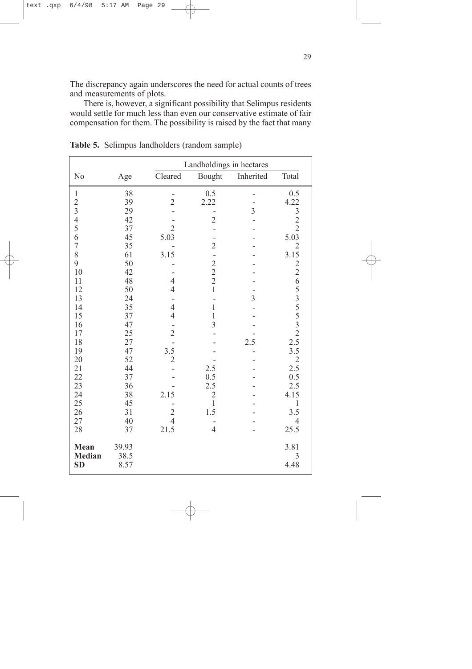The discrepancy again underscores the need for actual counts of trees and measurements of plots.

There is, however, a significant possibility that Selimpus residents would settle for much less than even our conservative estimate of fair compensation for them. The possibility is raised by the fact that many

|                            |              | Landholdings in hectares |                         |                |                                                                                                                                                                                                                                                                                                   |  |
|----------------------------|--------------|--------------------------|-------------------------|----------------|---------------------------------------------------------------------------------------------------------------------------------------------------------------------------------------------------------------------------------------------------------------------------------------------------|--|
| No                         | Age          | Cleared                  | Bought                  | Inherited      | Total                                                                                                                                                                                                                                                                                             |  |
| $\mathbf{1}$               | 38           |                          | 0.5                     |                | 0.5                                                                                                                                                                                                                                                                                               |  |
| $\frac{2}{3}$              | 39           | $\overline{2}$           | 2.22                    |                | 4.22                                                                                                                                                                                                                                                                                              |  |
|                            | 29           |                          |                         | $\overline{3}$ | $\begin{array}{r} \n \stackrel{\cdot}{\phantom{0}}\n \stackrel{\cdot}{\phantom{0}}\n \stackrel{\cdot}{\phantom{0}}\n \stackrel{\cdot}{\phantom{0}}\n \stackrel{\cdot}{\phantom{0}}\n \stackrel{\cdot}{\phantom{0}}\n \stackrel{\cdot}{\phantom{0}}\n \stackrel{\cdot}{\phantom{0}}\n \end{array}$ |  |
| $\overline{4}$             | 42           |                          | $\overline{2}$          |                |                                                                                                                                                                                                                                                                                                   |  |
| 5                          | 37           | $\overline{2}$           |                         |                |                                                                                                                                                                                                                                                                                                   |  |
| 6                          | 45           | 5.03                     |                         |                |                                                                                                                                                                                                                                                                                                   |  |
| $\overline{7}$             | 35           |                          | $\overline{c}$          |                | $\overline{2}$                                                                                                                                                                                                                                                                                    |  |
| 8                          | 61           | 3.15                     |                         |                | 3.15                                                                                                                                                                                                                                                                                              |  |
| 9                          | 50           |                          |                         |                |                                                                                                                                                                                                                                                                                                   |  |
| 10                         | 42           |                          | $\frac{1}{2}$<br>2<br>2 |                | $2265$<br>$535$<br>$532$<br>$2.5$                                                                                                                                                                                                                                                                 |  |
| 11                         | 48           | $\overline{4}$           |                         |                |                                                                                                                                                                                                                                                                                                   |  |
| 12                         | 50           | $\overline{4}$           | $\mathbf{1}$            |                |                                                                                                                                                                                                                                                                                                   |  |
| 13                         | 24           |                          |                         | 3              |                                                                                                                                                                                                                                                                                                   |  |
| 14                         | 35           | $\overline{4}$           | $\,1$                   |                |                                                                                                                                                                                                                                                                                                   |  |
| 15                         | 37           | $\overline{4}$           | $\mathbf{1}$            |                |                                                                                                                                                                                                                                                                                                   |  |
| 16                         | 47           |                          | 3                       |                |                                                                                                                                                                                                                                                                                                   |  |
| 17<br>18                   | 25<br>27     | $\overline{2}$           |                         | 2.5            |                                                                                                                                                                                                                                                                                                   |  |
| 19                         | 47           | 3.5                      |                         |                | 3.5                                                                                                                                                                                                                                                                                               |  |
| 20                         | 52           | $\overline{c}$           |                         |                |                                                                                                                                                                                                                                                                                                   |  |
| 21                         | 44           |                          | 2.5                     |                | $\frac{2}{2.5}$                                                                                                                                                                                                                                                                                   |  |
| 22                         | 37           |                          | 0.5                     |                | 0.5                                                                                                                                                                                                                                                                                               |  |
| 23                         | 36           |                          | 2.5                     |                | 2.5                                                                                                                                                                                                                                                                                               |  |
| 24                         | 38           | 2.15                     | $\overline{c}$          |                | 4.15                                                                                                                                                                                                                                                                                              |  |
| 25                         | 45           |                          | $\,1$                   |                | 1                                                                                                                                                                                                                                                                                                 |  |
| 26                         | 31           | $\overline{c}$           | 1.5                     |                | 3.5                                                                                                                                                                                                                                                                                               |  |
| 27                         | 40           | $\overline{4}$           |                         |                | $\overline{4}$                                                                                                                                                                                                                                                                                    |  |
| 28                         | 37           | 21.5                     | $\overline{4}$          |                | 25.5                                                                                                                                                                                                                                                                                              |  |
| Mean                       | 39.93        |                          |                         |                | 3.81                                                                                                                                                                                                                                                                                              |  |
| <b>Median</b><br><b>SD</b> | 38.5<br>8.57 |                          |                         |                | 3<br>4.48                                                                                                                                                                                                                                                                                         |  |

**Table 5.** Selimpus landholders (random sample)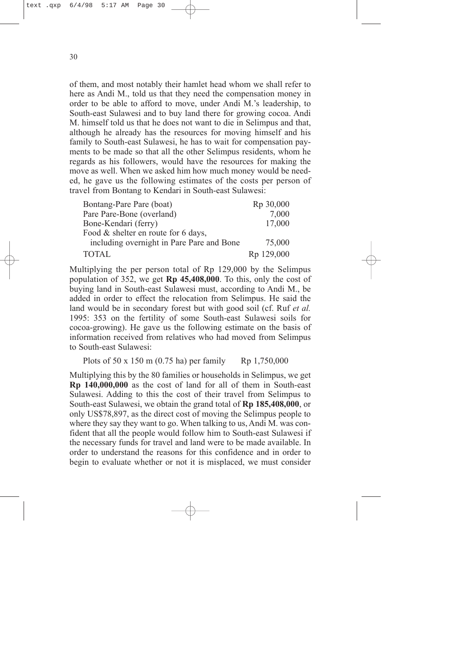of them, and most notably their hamlet head whom we shall refer to here as Andi M., told us that they need the compensation money in order to be able to afford to move, under Andi M.'s leadership, to South-east Sulawesi and to buy land there for growing cocoa. Andi M. himself told us that he does not want to die in Selimpus and that, although he already has the resources for moving himself and his family to South-east Sulawesi, he has to wait for compensation payments to be made so that all the other Selimpus residents, whom he regards as his followers, would have the resources for making the move as well. When we asked him how much money would be needed, he gave us the following estimates of the costs per person of travel from Bontang to Kendari in South-east Sulawesi:

| Bontang-Pare Pare (boat)                  | Rp 30,000  |
|-------------------------------------------|------------|
| Pare Pare-Bone (overland)                 | 7,000      |
| Bone-Kendari (ferry)                      | 17,000     |
| Food & shelter en route for 6 days,       |            |
| including overnight in Pare Pare and Bone | 75,000     |
| <b>TOTAL</b>                              | Rp 129,000 |

Multiplying the per person total of Rp 129,000 by the Selimpus population of 352, we get **Rp 45,408,000**. To this, only the cost of buying land in South-east Sulawesi must, according to Andi M., be added in order to effect the relocation from Selimpus. He said the land would be in secondary forest but with good soil (cf. Ruf *et al.* 1995: 353 on the fertility of some South-east Sulawesi soils for cocoa-growing). He gave us the following estimate on the basis of information received from relatives who had moved from Selimpus to South-east Sulawesi:

Plots of 50 x 150 m (0.75 ha) per family Rp 1,750,000

Multiplying this by the 80 families or households in Selimpus, we get **Rp 140,000,000** as the cost of land for all of them in South-east Sulawesi. Adding to this the cost of their travel from Selimpus to South-east Sulawesi, we obtain the grand total of **Rp 185,408,000**, or only US\$78,897, as the direct cost of moving the Selimpus people to where they say they want to go. When talking to us, Andi M. was confident that all the people would follow him to South-east Sulawesi if the necessary funds for travel and land were to be made available. In order to understand the reasons for this confidence and in order to begin to evaluate whether or not it is misplaced, we must consider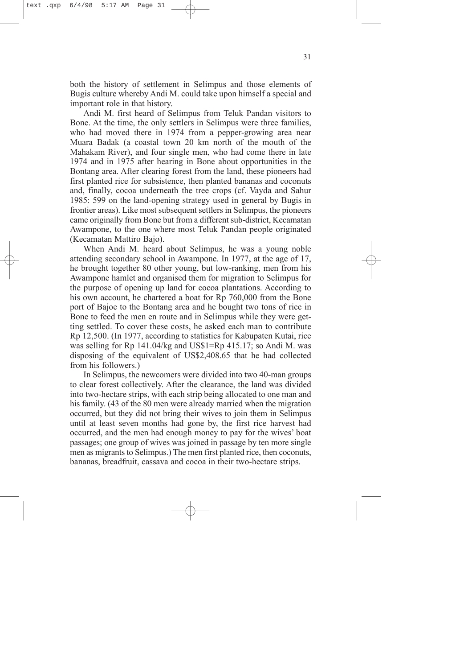both the history of settlement in Selimpus and those elements of Bugis culture whereby Andi M. could take upon himself a special and important role in that history.

Andi M. first heard of Selimpus from Teluk Pandan visitors to Bone. At the time, the only settlers in Selimpus were three families, who had moved there in 1974 from a pepper-growing area near Muara Badak (a coastal town 20 km north of the mouth of the Mahakam River), and four single men, who had come there in late 1974 and in 1975 after hearing in Bone about opportunities in the Bontang area. After clearing forest from the land, these pioneers had first planted rice for subsistence, then planted bananas and coconuts and, finally, cocoa underneath the tree crops (cf. Vayda and Sahur 1985: 599 on the land-opening strategy used in general by Bugis in frontier areas). Like most subsequent settlers in Selimpus, the pioneers came originally from Bone but from a different sub-district, Kecamatan Awampone, to the one where most Teluk Pandan people originated (Kecamatan Mattiro Bajo).

When Andi M. heard about Selimpus, he was a young noble attending secondary school in Awampone. In 1977, at the age of 17, he brought together 80 other young, but low-ranking, men from his Awampone hamlet and organised them for migration to Selimpus for the purpose of opening up land for cocoa plantations. According to his own account, he chartered a boat for Rp 760,000 from the Bone port of Bajoe to the Bontang area and he bought two tons of rice in Bone to feed the men en route and in Selimpus while they were getting settled. To cover these costs, he asked each man to contribute Rp 12,500. (In 1977, according to statistics for Kabupaten Kutai, rice was selling for Rp 141.04/kg and US\$1=Rp 415.17; so Andi M. was disposing of the equivalent of US\$2,408.65 that he had collected from his followers.)

In Selimpus, the newcomers were divided into two 40-man groups to clear forest collectively. After the clearance, the land was divided into two-hectare strips, with each strip being allocated to one man and his family. (43 of the 80 men were already married when the migration occurred, but they did not bring their wives to join them in Selimpus until at least seven months had gone by, the first rice harvest had occurred, and the men had enough money to pay for the wives' boat passages; one group of wives was joined in passage by ten more single men as migrants to Selimpus.) The men first planted rice, then coconuts, bananas, breadfruit, cassava and cocoa in their two-hectare strips.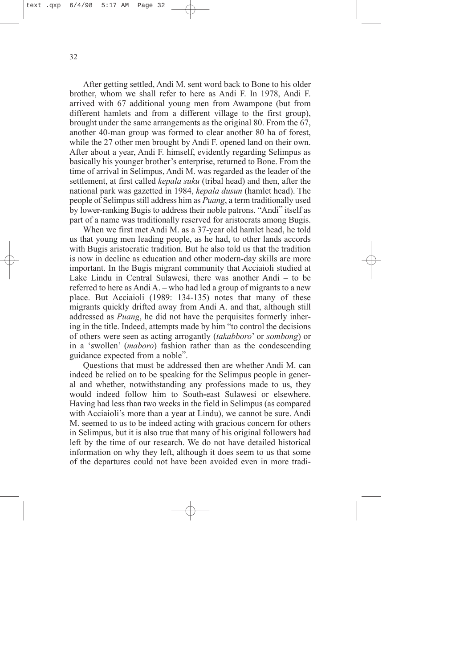After getting settled, Andi M. sent word back to Bone to his older brother, whom we shall refer to here as Andi F. In 1978, Andi F. arrived with 67 additional young men from Awampone (but from different hamlets and from a different village to the first group), brought under the same arrangements as the original 80. From the 67, another 40-man group was formed to clear another 80 ha of forest, while the 27 other men brought by Andi F. opened land on their own. After about a year, Andi F. himself, evidently regarding Selimpus as basically his younger brother's enterprise, returned to Bone. From the time of arrival in Selimpus, Andi M. was regarded as the leader of the settlement, at first called *kepala suku* (tribal head) and then, after the national park was gazetted in 1984, *kepala dusun* (hamlet head). The people of Selimpus still address him as *Puang*, a term traditionally used by lower-ranking Bugis to address their noble patrons. "Andi" itself as part of a name was traditionally reserved for aristocrats among Bugis.

When we first met Andi M. as a 37-year old hamlet head, he told us that young men leading people, as he had, to other lands accords with Bugis aristocratic tradition. But he also told us that the tradition is now in decline as education and other modern-day skills are more important. In the Bugis migrant community that Acciaioli studied at Lake Lindu in Central Sulawesi, there was another Andi – to be referred to here as Andi A. – who had led a group of migrants to a new place. But Acciaioli (1989: 134-135) notes that many of these migrants quickly drifted away from Andi A. and that, although still addressed as *Puang*, he did not have the perquisites formerly inhering in the title. Indeed, attempts made by him "to control the decisions of others were seen as acting arrogantly (*takabboro*' or *sombong*) or in a 'swollen' (*maboro*) fashion rather than as the condescending guidance expected from a noble".

Questions that must be addressed then are whether Andi M. can indeed be relied on to be speaking for the Selimpus people in general and whether, notwithstanding any professions made to us, they would indeed follow him to South**-**east Sulawesi or elsewhere. Having had less than two weeks in the field in Selimpus (as compared with Acciaioli's more than a year at Lindu), we cannot be sure. Andi M. seemed to us to be indeed acting with gracious concern for others in Selimpus, but it is also true that many of his original followers had left by the time of our research. We do not have detailed historical information on why they left, although it does seem to us that some of the departures could not have been avoided even in more tradi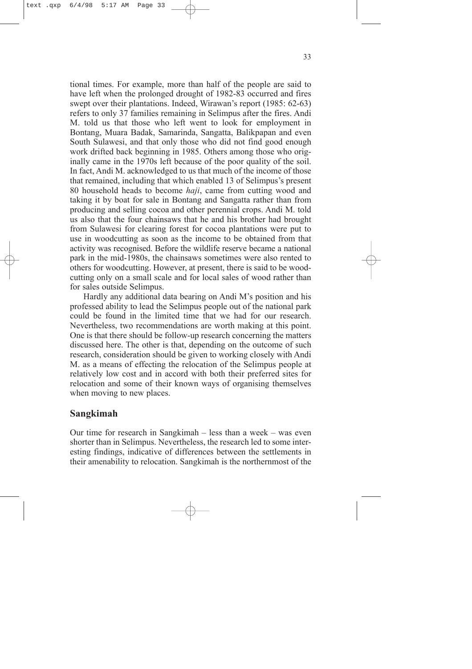<span id="page-37-0"></span>tional times. For example, more than half of the people are said to have left when the prolonged drought of 1982-83 occurred and fires swept over their plantations. Indeed, Wirawan's report (1985: 62-63) refers to only 37 families remaining in Selimpus after the fires. Andi M. told us that those who left went to look for employment in Bontang, Muara Badak, Samarinda, Sangatta, Balikpapan and even South Sulawesi, and that only those who did not find good enough work drifted back beginning in 1985. Others among those who originally came in the 1970s left because of the poor quality of the soil. In fact, Andi M. acknowledged to us that much of the income of those that remained, including that which enabled 13 of Selimpus's present 80 household heads to become *haji*, came from cutting wood and taking it by boat for sale in Bontang and Sangatta rather than from producing and selling cocoa and other perennial crops. Andi M. told us also that the four chainsaws that he and his brother had brought from Sulawesi for clearing forest for cocoa plantations were put to use in woodcutting as soon as the income to be obtained from that activity was recognised. Before the wildlife reserve became a national park in the mid-1980s, the chainsaws sometimes were also rented to others for woodcutting. However, at present, there is said to be woodcutting only on a small scale and for local sales of wood rather than for sales outside Selimpus.

Hardly any additional data bearing on Andi M's position and his professed ability to lead the Selimpus people out of the national park could be found in the limited time that we had for our research. Nevertheless, two recommendations are worth making at this point. One is that there should be follow-up research concerning the matters discussed here. The other is that, depending on the outcome of such research, consideration should be given to working closely with Andi M. as a means of effecting the relocation of the Selimpus people at relatively low cost and in accord with both their preferred sites for relocation and some of their known ways of organising themselves when moving to new places.

## **Sangkimah**

Our time for research in Sangkimah – less than a week – was even shorter than in Selimpus. Nevertheless, the research led to some interesting findings, indicative of differences between the settlements in their amenability to relocation. Sangkimah is the northernmost of the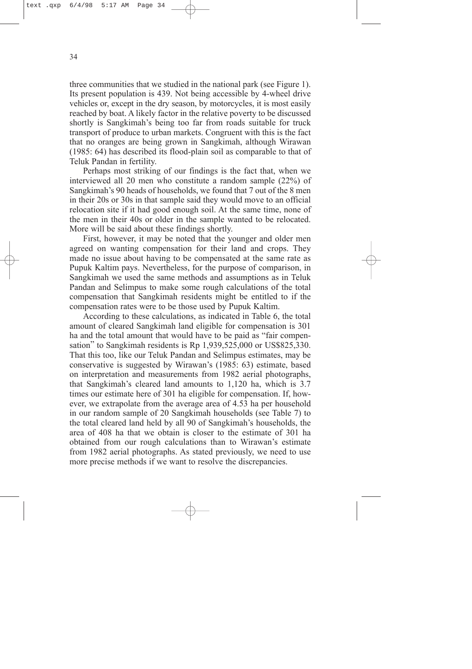three communities that we studied in the national park (see Figure 1). Its present population is 439. Not being accessible by 4-wheel drive vehicles or, except in the dry season, by motorcycles, it is most easily reached by boat. A likely factor in the relative poverty to be discussed shortly is Sangkimah's being too far from roads suitable for truck transport of produce to urban markets. Congruent with this is the fact that no oranges are being grown in Sangkimah, although Wirawan (1985: 64) has described its flood-plain soil as comparable to that of Teluk Pandan in fertility.

Perhaps most striking of our findings is the fact that, when we interviewed all 20 men who constitute a random sample (22%) of Sangkimah's 90 heads of households, we found that 7 out of the 8 men in their 20s or 30s in that sample said they would move to an official relocation site if it had good enough soil. At the same time, none of the men in their 40s or older in the sample wanted to be relocated. More will be said about these findings shortly.

First, however, it may be noted that the younger and older men agreed on wanting compensation for their land and crops. They made no issue about having to be compensated at the same rate as Pupuk Kaltim pays. Nevertheless, for the purpose of comparison, in Sangkimah we used the same methods and assumptions as in Teluk Pandan and Selimpus to make some rough calculations of the total compensation that Sangkimah residents might be entitled to if the compensation rates were to be those used by Pupuk Kaltim.

According to these calculations, as indicated in Table 6, the total amount of cleared Sangkimah land eligible for compensation is 301 ha and the total amount that would have to be paid as "fair compensation" to Sangkimah residents is Rp 1,939,525,000 or US\$825,330. That this too, like our Teluk Pandan and Selimpus estimates, may be conservative is suggested by Wirawan's (1985: 63) estimate, based on interpretation and measurements from 1982 aerial photographs, that Sangkimah's cleared land amounts to 1,120 ha, which is 3.7 times our estimate here of 301 ha eligible for compensation. If, however, we extrapolate from the average area of 4.53 ha per household in our random sample of 20 Sangkimah households (see Table 7) to the total cleared land held by all 90 of Sangkimah's households, the area of 408 ha that we obtain is closer to the estimate of 301 ha obtained from our rough calculations than to Wirawan's estimate from 1982 aerial photographs. As stated previously, we need to use more precise methods if we want to resolve the discrepancies.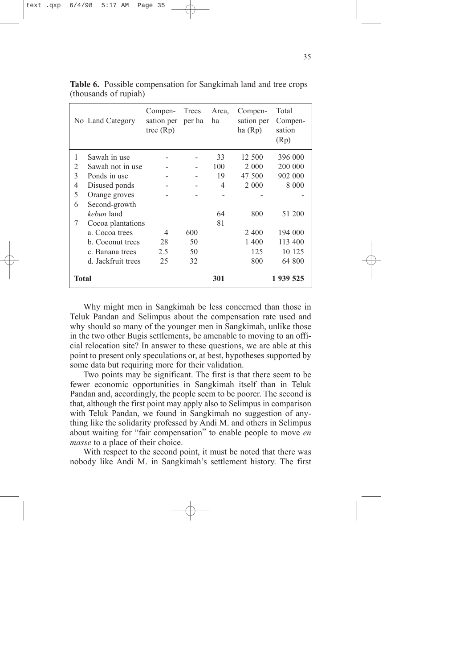|              | No Land Category   | Compen-<br>sation per<br>tree $(Rp)$ | Trees<br>per ha | Area.<br>ha | Compen-<br>sation per<br>ha(Rp) | Total<br>Compen-<br>sation<br>(Rp) |
|--------------|--------------------|--------------------------------------|-----------------|-------------|---------------------------------|------------------------------------|
| 1            | Sawah in use       |                                      |                 | 33          | 12 500                          | 396 000                            |
| 2            | Sawah not in use   |                                      |                 | 100         | 2 000                           | 200 000                            |
| 3            | Ponds in use       |                                      |                 | 19          | 47 500                          | 902 000                            |
| 4            | Disused ponds      |                                      |                 | 4           | 2 0 0 0                         | 8 0 0 0                            |
| 5            | Orange groves      |                                      |                 |             |                                 |                                    |
| 6            | Second-growth      |                                      |                 |             |                                 |                                    |
|              | kebun land         |                                      |                 | 64          | 800                             | 51 200                             |
| 7            | Cocoa plantations  |                                      |                 | 81          |                                 |                                    |
|              | a. Cocoa trees     | 4                                    | 600             |             | 2 4 0 0                         | 194 000                            |
|              | b. Coconut trees   | 28                                   | 50              |             | 1 400                           | 113 400                            |
|              | c. Banana trees    | 2.5                                  | 50              |             | 125                             | 10 125                             |
|              | d. Jackfruit trees | 25                                   | 32              |             | 800                             | 64 800                             |
| <b>Total</b> |                    |                                      |                 | 301         |                                 | 1 939 525                          |

**Table 6.** Possible compensation for Sangkimah land and tree crops (thousands of rupiah)

Why might men in Sangkimah be less concerned than those in Teluk Pandan and Selimpus about the compensation rate used and why should so many of the younger men in Sangkimah, unlike those in the two other Bugis settlements, be amenable to moving to an official relocation site? In answer to these questions, we are able at this point to present only speculations or, at best, hypotheses supported by some data but requiring more for their validation.

Two points may be significant. The first is that there seem to be fewer economic opportunities in Sangkimah itself than in Teluk Pandan and, accordingly, the people seem to be poorer. The second is that, although the first point may apply also to Selimpus in comparison with Teluk Pandan, we found in Sangkimah no suggestion of anything like the solidarity professed by Andi M. and others in Selimpus about waiting for "fair compensation" to enable people to move *en masse* to a place of their choice.

With respect to the second point, it must be noted that there was nobody like Andi M. in Sangkimah's settlement history. The first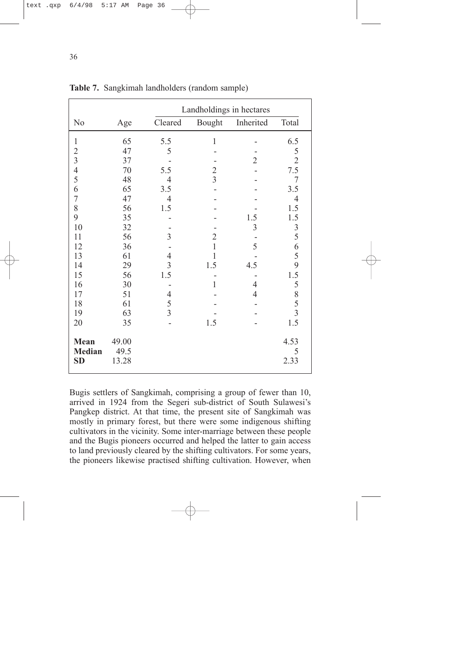|                                    | Landholdings in hectares |                |                |                |                         |
|------------------------------------|--------------------------|----------------|----------------|----------------|-------------------------|
| N <sub>0</sub>                     | Age                      | Cleared        | Bought         | Inherited      | Total                   |
| $\mathbf{1}$                       | 65                       | 5.5            | $\mathbf{1}$   |                | 6.5                     |
| $\overline{c}$                     | 47                       | 5              |                |                |                         |
| $\overline{3}$                     | 37                       |                |                | $\overline{2}$ | $\frac{5}{2}$           |
| $\overline{\mathcal{A}}$           | 70                       | 5.5            | $\overline{2}$ |                | 7.5                     |
| 5                                  | 48                       | $\overline{4}$ | $\overline{3}$ |                | 7                       |
| 6                                  | 65                       | 3.5            |                |                | 3.5                     |
| $\overline{7}$                     | 47                       | $\overline{4}$ |                |                | $\overline{4}$          |
| 8                                  | 56                       | 1.5            |                |                | 1.5                     |
| 9                                  | 35                       |                |                | 1.5            | 1.5                     |
| 10                                 | 32                       |                |                | $\mathfrak{Z}$ |                         |
| 11                                 | 56                       | 3              | $\overline{2}$ |                |                         |
| 12                                 | 36                       |                | $\mathbf{1}$   | 5              | 35659                   |
| 13                                 | 61                       | $\overline{4}$ | 1              |                |                         |
| 14                                 | 29                       | $\overline{3}$ | 1.5            | 4.5            |                         |
| 15                                 | 56                       | 1.5            |                |                | 1.5                     |
| 16                                 | 30                       |                | $\mathbf{1}$   | 4              |                         |
| 17                                 | 51                       | 4              |                | $\overline{4}$ |                         |
| 18                                 | 61                       | 5              |                |                | $rac{5}{8}$ $rac{5}{3}$ |
| 19                                 | 63                       | $\overline{3}$ |                |                |                         |
| 20                                 | 35                       |                | 1.5            |                | 1.5                     |
| Mean<br><b>Median</b><br><b>SD</b> | 49.00<br>49.5<br>13.28   |                |                |                | 4.53<br>5<br>2.33       |

**Table 7.** Sangkimah landholders (random sample)

Bugis settlers of Sangkimah, comprising a group of fewer than 10, arrived in 1924 from the Segeri sub-district of South Sulawesi's Pangkep district. At that time, the present site of Sangkimah was mostly in primary forest, but there were some indigenous shifting cultivators in the vicinity. Some inter-marriage between these people and the Bugis pioneers occurred and helped the latter to gain access to land previously cleared by the shifting cultivators. For some years, the pioneers likewise practised shifting cultivation. However, when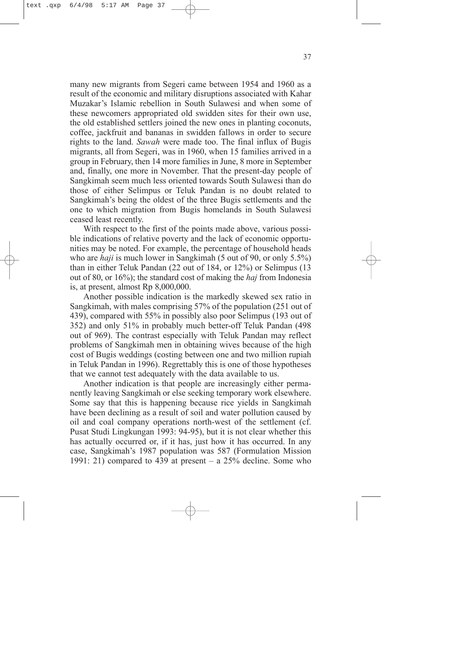many new migrants from Segeri came between 1954 and 1960 as a result of the economic and military disruptions associated with Kahar Muzakar's Islamic rebellion in South Sulawesi and when some of these newcomers appropriated old swidden sites for their own use, the old established settlers joined the new ones in planting coconuts, coffee, jackfruit and bananas in swidden fallows in order to secure rights to the land. *Sawah* were made too. The final influx of Bugis migrants, all from Segeri, was in 1960, when 15 families arrived in a group in February, then 14 more families in June, 8 more in September and, finally, one more in November. That the present-day people of Sangkimah seem much less oriented towards South Sulawesi than do those of either Selimpus or Teluk Pandan is no doubt related to Sangkimah's being the oldest of the three Bugis settlements and the one to which migration from Bugis homelands in South Sulawesi ceased least recently.

With respect to the first of the points made above, various possible indications of relative poverty and the lack of economic opportunities may be noted. For example, the percentage of household heads who are *haji* is much lower in Sangkimah (5 out of 90, or only 5.5%) than in either Teluk Pandan (22 out of 184, or 12%) or Selimpus (13 out of 80, or 16%); the standard cost of making the *haj* from Indonesia is, at present, almost Rp 8,000,000.

Another possible indication is the markedly skewed sex ratio in Sangkimah, with males comprising 57% of the population (251 out of 439), compared with 55% in possibly also poor Selimpus (193 out of 352) and only 51% in probably much better-off Teluk Pandan (498 out of 969). The contrast especially with Teluk Pandan may reflect problems of Sangkimah men in obtaining wives because of the high cost of Bugis weddings (costing between one and two million rupiah in Teluk Pandan in 1996). Regrettably this is one of those hypotheses that we cannot test adequately with the data available to us.

Another indication is that people are increasingly either permanently leaving Sangkimah or else seeking temporary work elsewhere. Some say that this is happening because rice yields in Sangkimah have been declining as a result of soil and water pollution caused by oil and coal company operations north-west of the settlement (cf. Pusat Studi Lingkungan 1993: 94-95), but it is not clear whether this has actually occurred or, if it has, just how it has occurred. In any case, Sangkimah's 1987 population was 587 (Formulation Mission 1991: 21) compared to 439 at present – a  $25\%$  decline. Some who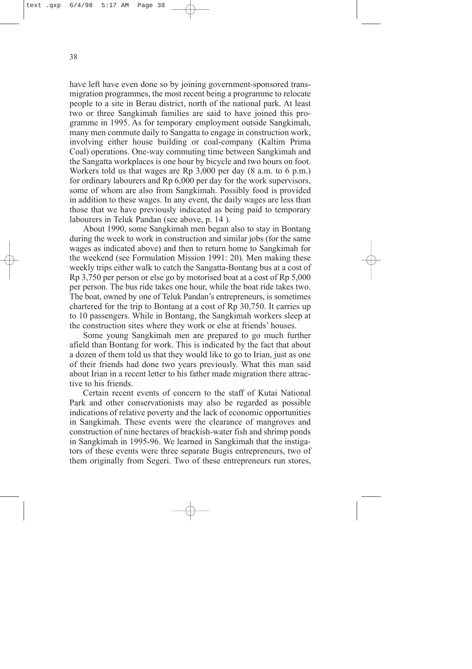have left have even done so by joining government-sponsored transmigration programmes, the most recent being a programme to relocate people to a site in Berau district, north of the national park. At least two or three Sangkimah families are said to have joined this programme in 1995. As for temporary employment outside Sangkimah, many men commute daily to Sangatta to engage in construction work, involving either house building or coal-company (Kaltim Prima Coal) operations. One-way commuting time between Sangkimah and the Sangatta workplaces is one hour by bicycle and two hours on foot. Workers told us that wages are Rp 3,000 per day (8 a.m. to 6 p.m.) for ordinary labourers and Rp 6,000 per day for the work supervisors, some of whom are also from Sangkimah. Possibly food is provided in addition to these wages. In any event, the daily wages are less than those that we have previously indicated as being paid to temporary labourers in Teluk Pandan (see above, p. 14 ).

About 1990, some Sangkimah men began also to stay in Bontang during the week to work in construction and similar jobs (for the same wages as indicated above) and then to return home to Sangkimah for the weekend (see Formulation Mission 1991: 20). Men making these weekly trips either walk to catch the Sangatta-Bontang bus at a cost of Rp 3,750 per person or else go by motorised boat at a cost of Rp 5,000 per person. The bus ride takes one hour, while the boat ride takes two. The boat, owned by one of Teluk Pandan's entrepreneurs, is sometimes chartered for the trip to Bontang at a cost of Rp 30,750. It carries up to 10 passengers. While in Bontang, the Sangkimah workers sleep at the construction sites where they work or else at friends' houses.

Some young Sangkimah men are prepared to go much further afield than Bontang for work. This is indicated by the fact that about a dozen of them told us that they would like to go to Irian, just as one of their friends had done two years previously. What this man said about Irian in a recent letter to his father made migration there attractive to his friends.

Certain recent events of concern to the staff of Kutai National Park and other conservationists may also be regarded as possible indications of relative poverty and the lack of economic opportunities in Sangkimah. These events were the clearance of mangroves and construction of nine hectares of brackish-water fish and shrimp ponds in Sangkimah in 1995-96. We learned in Sangkimah that the instigators of these events were three separate Bugis entrepreneurs, two of them originally from Segeri. Two of these entrepreneurs run stores,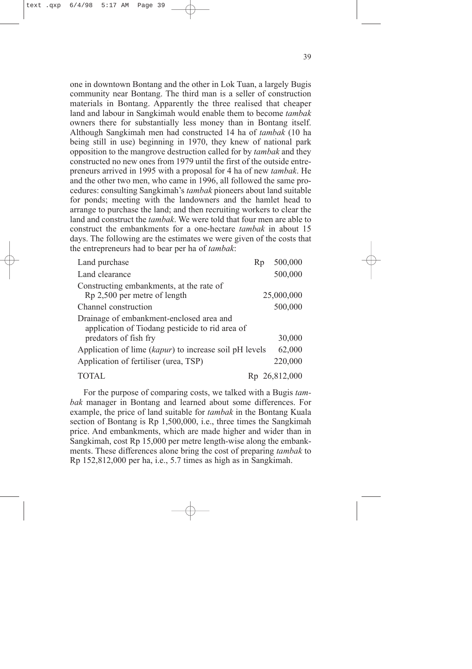one in downtown Bontang and the other in Lok Tuan, a largely Bugis community near Bontang. The third man is a seller of construction materials in Bontang. Apparently the three realised that cheaper land and labour in Sangkimah would enable them to become *tambak* owners there for substantially less money than in Bontang itself. Although Sangkimah men had constructed 14 ha of *tambak* (10 ha being still in use) beginning in 1970, they knew of national park opposition to the mangrove destruction called for by *tambak* and they constructed no new ones from 1979 until the first of the outside entrepreneurs arrived in 1995 with a proposal for 4 ha of new *tambak*. He and the other two men, who came in 1996, all followed the same procedures: consulting Sangkimah's *tambak* pioneers about land suitable for ponds; meeting with the landowners and the hamlet head to arrange to purchase the land; and then recruiting workers to clear the land and construct the *tambak*. We were told that four men are able to construct the embankments for a one-hectare *tambak* in about 15 days. The following are the estimates we were given of the costs that the entrepreneurs had to bear per ha of *tambak*:

| Land purchase                                                                               | Rp | 500,000       |
|---------------------------------------------------------------------------------------------|----|---------------|
| Land clearance                                                                              |    | 500,000       |
| Constructing embankments, at the rate of                                                    |    |               |
| Rp 2,500 per metre of length                                                                |    | 25,000,000    |
| Channel construction                                                                        |    | 500,000       |
| Drainage of embankment-enclosed area and<br>application of Tiodang pesticide to rid area of |    |               |
| predators of fish fry                                                                       |    | 30,000        |
| Application of lime (kapur) to increase soil pH levels                                      |    | 62,000        |
| Application of fertiliser (urea, TSP)                                                       |    | 220,000       |
|                                                                                             |    | Rp 26,812,000 |

For the purpose of comparing costs, we talked with a Bugis *tambak* manager in Bontang and learned about some differences. For example, the price of land suitable for *tambak* in the Bontang Kuala section of Bontang is Rp 1,500,000, i.e., three times the Sangkimah price. And embankments, which are made higher and wider than in Sangkimah, cost Rp 15,000 per metre length-wise along the embankments. These differences alone bring the cost of preparing *tambak* to Rp 152,812,000 per ha, i.e., 5.7 times as high as in Sangkimah.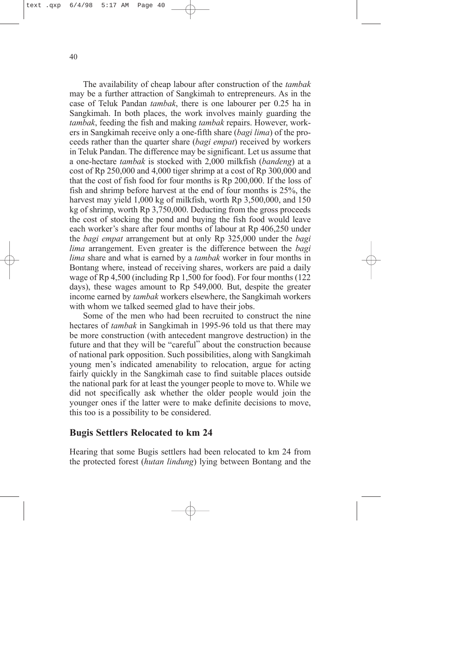<span id="page-44-0"></span>40

The availability of cheap labour after construction of the *tambak* may be a further attraction of Sangkimah to entrepreneurs. As in the case of Teluk Pandan *tambak*, there is one labourer per 0.25 ha in Sangkimah. In both places, the work involves mainly guarding the *tambak*, feeding the fish and making *tambak* repairs. However, workers in Sangkimah receive only a one-fifth share (*bagi lima*) of the proceeds rather than the quarter share (*bagi empat*) received by workers in Teluk Pandan. The difference may be significant. Let us assume that a one-hectare *tambak* is stocked with 2,000 milkfish (*bandeng*) at a cost of Rp 250,000 and 4,000 tiger shrimp at a cost of Rp 300,000 and that the cost of fish food for four months is Rp 200,000. If the loss of fish and shrimp before harvest at the end of four months is 25%, the harvest may yield 1,000 kg of milkfish, worth Rp 3,500,000, and 150 kg of shrimp, worth Rp 3,750,000. Deducting from the gross proceeds the cost of stocking the pond and buying the fish food would leave each worker's share after four months of labour at Rp 406,250 under the *bagi empat* arrangement but at only Rp 325,000 under the *bagi lima* arrangement. Even greater is the difference between the *bagi lima* share and what is earned by a *tambak* worker in four months in Bontang where, instead of receiving shares, workers are paid a daily wage of Rp 4,500 (including Rp 1,500 for food). For four months (122 days), these wages amount to Rp 549,000. But, despite the greater income earned by *tambak* workers elsewhere, the Sangkimah workers with whom we talked seemed glad to have their jobs.

Some of the men who had been recruited to construct the nine hectares of *tambak* in Sangkimah in 1995-96 told us that there may be more construction (with antecedent mangrove destruction) in the future and that they will be "careful" about the construction because of national park opposition. Such possibilities, along with Sangkimah young men's indicated amenability to relocation, argue for acting fairly quickly in the Sangkimah case to find suitable places outside the national park for at least the younger people to move to. While we did not specifically ask whether the older people would join the younger ones if the latter were to make definite decisions to move, this too is a possibility to be considered.

## **Bugis Settlers Relocated to km 24**

Hearing that some Bugis settlers had been relocated to km 24 from the protected forest (*hutan lindung*) lying between Bontang and the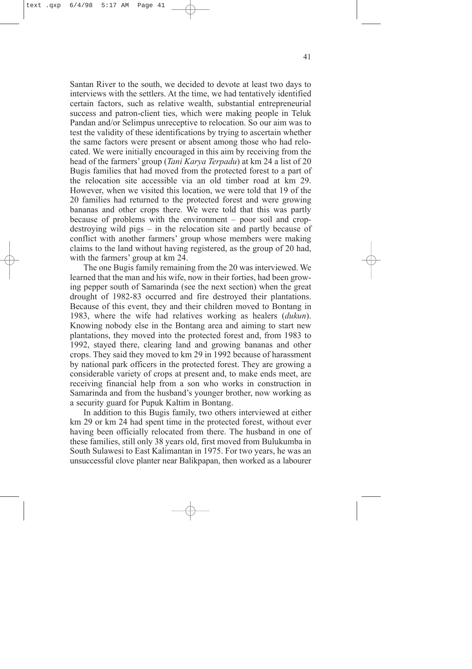Santan River to the south, we decided to devote at least two days to interviews with the settlers. At the time, we had tentatively identified certain factors, such as relative wealth, substantial entrepreneurial success and patron-client ties, which were making people in Teluk Pandan and/or Selimpus unreceptive to relocation. So our aim was to test the validity of these identifications by trying to ascertain whether the same factors were present or absent among those who had relocated. We were initially encouraged in this aim by receiving from the head of the farmers' group (*Tani Karya Terpadu*) at km 24 a list of 20 Bugis families that had moved from the protected forest to a part of the relocation site accessible via an old timber road at km 29. However, when we visited this location, we were told that 19 of the 20 families had returned to the protected forest and were growing bananas and other crops there. We were told that this was partly because of problems with the environment – poor soil and cropdestroying wild pigs – in the relocation site and partly because of conflict with another farmers' group whose members were making claims to the land without having registered, as the group of 20 had, with the farmers' group at km 24.

The one Bugis family remaining from the 20 was interviewed. We learned that the man and his wife, now in their forties, had been growing pepper south of Samarinda (see the next section) when the great drought of 1982-83 occurred and fire destroyed their plantations. Because of this event, they and their children moved to Bontang in 1983, where the wife had relatives working as healers (*dukun*). Knowing nobody else in the Bontang area and aiming to start new plantations, they moved into the protected forest and, from 1983 to 1992, stayed there, clearing land and growing bananas and other crops. They said they moved to km 29 in 1992 because of harassment by national park officers in the protected forest. They are growing a considerable variety of crops at present and, to make ends meet, are receiving financial help from a son who works in construction in Samarinda and from the husband's younger brother, now working as a security guard for Pupuk Kaltim in Bontang.

In addition to this Bugis family, two others interviewed at either km 29 or km 24 had spent time in the protected forest, without ever having been officially relocated from there. The husband in one of these families, still only 38 years old, first moved from Bulukumba in South Sulawesi to East Kalimantan in 1975. For two years, he was an unsuccessful clove planter near Balikpapan, then worked as a labourer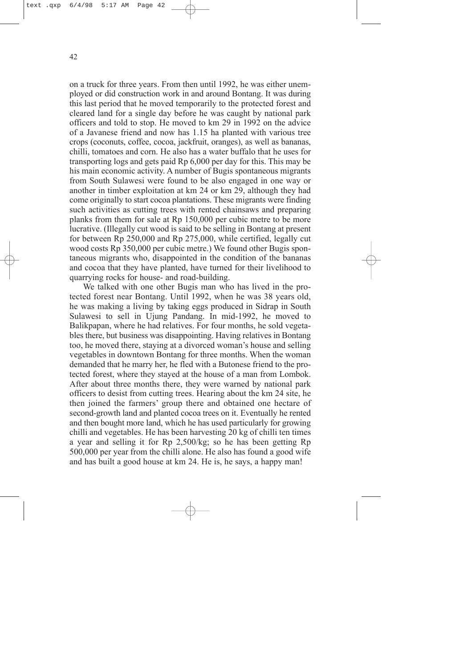on a truck for three years. From then until 1992, he was either unemployed or did construction work in and around Bontang. It was during this last period that he moved temporarily to the protected forest and cleared land for a single day before he was caught by national park officers and told to stop. He moved to km 29 in 1992 on the advice of a Javanese friend and now has 1.15 ha planted with various tree crops (coconuts, coffee, cocoa, jackfruit, oranges), as well as bananas, chilli, tomatoes and corn. He also has a water buffalo that he uses for transporting logs and gets paid Rp 6,000 per day for this. This may be his main economic activity. A number of Bugis spontaneous migrants from South Sulawesi were found to be also engaged in one way or another in timber exploitation at km 24 or km 29, although they had come originally to start cocoa plantations. These migrants were finding such activities as cutting trees with rented chainsaws and preparing planks from them for sale at Rp 150,000 per cubic metre to be more lucrative. (Illegally cut wood is said to be selling in Bontang at present for between Rp 250,000 and Rp 275,000, while certified, legally cut wood costs Rp 350,000 per cubic metre.) We found other Bugis spontaneous migrants who, disappointed in the condition of the bananas and cocoa that they have planted, have turned for their livelihood to quarrying rocks for house- and road-building.

We talked with one other Bugis man who has lived in the protected forest near Bontang. Until 1992, when he was 38 years old, he was making a living by taking eggs produced in Sidrap in South Sulawesi to sell in Ujung Pandang. In mid-1992, he moved to Balikpapan, where he had relatives. For four months, he sold vegetables there, but business was disappointing. Having relatives in Bontang too, he moved there, staying at a divorced woman's house and selling vegetables in downtown Bontang for three months. When the woman demanded that he marry her, he fled with a Butonese friend to the protected forest, where they stayed at the house of a man from Lombok. After about three months there, they were warned by national park officers to desist from cutting trees. Hearing about the km 24 site, he then joined the farmers' group there and obtained one hectare of second-growth land and planted cocoa trees on it. Eventually he rented and then bought more land, which he has used particularly for growing chilli and vegetables. He has been harvesting 20 kg of chilli ten times a year and selling it for Rp 2,500/kg; so he has been getting Rp 500,000 per year from the chilli alone. He also has found a good wife and has built a good house at km 24. He is, he says, a happy man!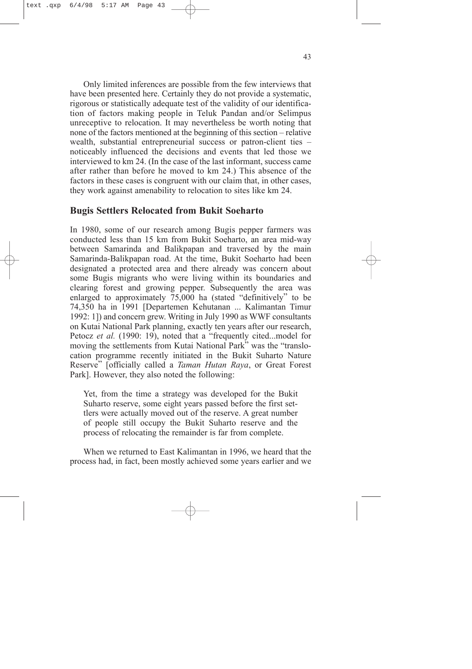<span id="page-47-0"></span>Only limited inferences are possible from the few interviews that have been presented here. Certainly they do not provide a systematic, rigorous or statistically adequate test of the validity of our identification of factors making people in Teluk Pandan and/or Selimpus unreceptive to relocation. It may nevertheless be worth noting that none of the factors mentioned at the beginning of this section – relative wealth, substantial entrepreneurial success or patron-client ties – noticeably influenced the decisions and events that led those we interviewed to km 24. (In the case of the last informant, success came after rather than before he moved to km 24.) This absence of the factors in these cases is congruent with our claim that, in other cases, they work against amenability to relocation to sites like km 24.

## **Bugis Settlers Relocated from Bukit Soeharto**

In 1980, some of our research among Bugis pepper farmers was conducted less than 15 km from Bukit Soeharto, an area mid-way between Samarinda and Balikpapan and traversed by the main Samarinda-Balikpapan road. At the time, Bukit Soeharto had been designated a protected area and there already was concern about some Bugis migrants who were living within its boundaries and clearing forest and growing pepper. Subsequently the area was enlarged to approximately 75,000 ha (stated "definitively" to be 74,350 ha in 1991 [Departemen Kehutanan ... Kalimantan Timur 1992: 1]) and concern grew. Writing in July 1990 as WWF consultants on Kutai National Park planning, exactly ten years after our research, Petocz *et al.* (1990: 19), noted that a "frequently cited...model for moving the settlements from Kutai National Park" was the "translocation programme recently initiated in the Bukit Suharto Nature Reserve" [officially called a *Taman Hutan Raya*, or Great Forest Park]. However, they also noted the following:

Yet, from the time a strategy was developed for the Bukit Suharto reserve, some eight years passed before the first settlers were actually moved out of the reserve. A great number of people still occupy the Bukit Suharto reserve and the process of relocating the remainder is far from complete.

When we returned to East Kalimantan in 1996, we heard that the process had, in fact, been mostly achieved some years earlier and we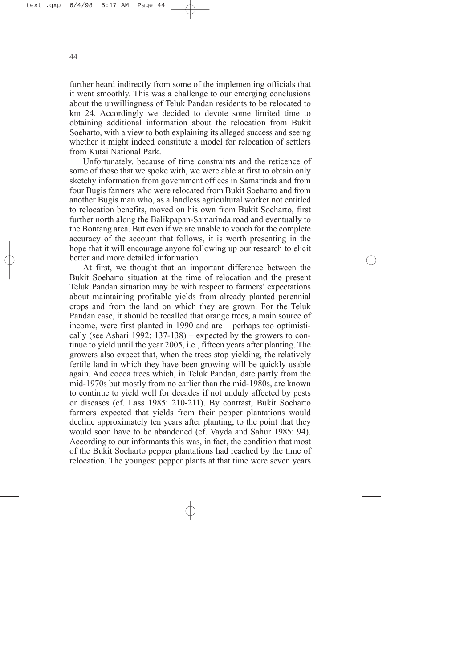further heard indirectly from some of the implementing officials that it went smoothly. This was a challenge to our emerging conclusions about the unwillingness of Teluk Pandan residents to be relocated to km 24. Accordingly we decided to devote some limited time to obtaining additional information about the relocation from Bukit Soeharto, with a view to both explaining its alleged success and seeing whether it might indeed constitute a model for relocation of settlers from Kutai National Park.

Unfortunately, because of time constraints and the reticence of some of those that we spoke with, we were able at first to obtain only sketchy information from government offices in Samarinda and from four Bugis farmers who were relocated from Bukit Soeharto and from another Bugis man who, as a landless agricultural worker not entitled to relocation benefits, moved on his own from Bukit Soeharto, first further north along the Balikpapan-Samarinda road and eventually to the Bontang area. But even if we are unable to vouch for the complete accuracy of the account that follows, it is worth presenting in the hope that it will encourage anyone following up our research to elicit better and more detailed information.

At first, we thought that an important difference between the Bukit Soeharto situation at the time of relocation and the present Teluk Pandan situation may be with respect to farmers' expectations about maintaining profitable yields from already planted perennial crops and from the land on which they are grown. For the Teluk Pandan case, it should be recalled that orange trees, a main source of income, were first planted in 1990 and are – perhaps too optimistically (see Ashari 1992: 137-138) – expected by the growers to continue to yield until the year 2005, i.e., fifteen years after planting. The growers also expect that, when the trees stop yielding, the relatively fertile land in which they have been growing will be quickly usable again. And cocoa trees which, in Teluk Pandan, date partly from the mid-1970s but mostly from no earlier than the mid-1980s, are known to continue to yield well for decades if not unduly affected by pests or diseases (cf. Lass 1985: 210-211). By contrast, Bukit Soeharto farmers expected that yields from their pepper plantations would decline approximately ten years after planting, to the point that they would soon have to be abandoned (cf. Vayda and Sahur 1985: 94). According to our informants this was, in fact, the condition that most of the Bukit Soeharto pepper plantations had reached by the time of relocation. The youngest pepper plants at that time were seven years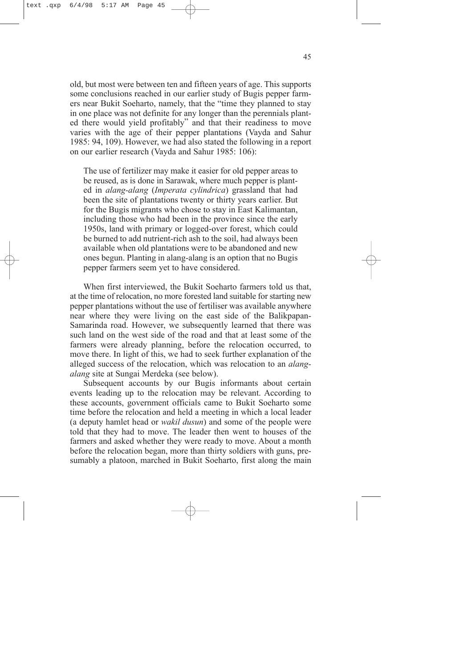old, but most were between ten and fifteen years of age. This supports some conclusions reached in our earlier study of Bugis pepper farmers near Bukit Soeharto, namely, that the "time they planned to stay in one place was not definite for any longer than the perennials planted there would yield profitably" and that their readiness to move varies with the age of their pepper plantations (Vayda and Sahur 1985: 94, 109). However, we had also stated the following in a report on our earlier research (Vayda and Sahur 1985: 106):

The use of fertilizer may make it easier for old pepper areas to be reused, as is done in Sarawak, where much pepper is planted in *alang-alang* (*Imperata cylindrica*) grassland that had been the site of plantations twenty or thirty years earlier. But for the Bugis migrants who chose to stay in East Kalimantan, including those who had been in the province since the early 1950s, land with primary or logged-over forest, which could be burned to add nutrient-rich ash to the soil, had always been available when old plantations were to be abandoned and new ones begun. Planting in alang-alang is an option that no Bugis pepper farmers seem yet to have considered.

When first interviewed, the Bukit Soeharto farmers told us that, at the time of relocation, no more forested land suitable for starting new pepper plantations without the use of fertiliser was available anywhere near where they were living on the east side of the Balikpapan-Samarinda road. However, we subsequently learned that there was such land on the west side of the road and that at least some of the farmers were already planning, before the relocation occurred, to move there. In light of this, we had to seek further explanation of the alleged success of the relocation, which was relocation to an *alangalang* site at Sungai Merdeka (see below).

Subsequent accounts by our Bugis informants about certain events leading up to the relocation may be relevant. According to these accounts, government officials came to Bukit Soeharto some time before the relocation and held a meeting in which a local leader (a deputy hamlet head or *wakil dusun*) and some of the people were told that they had to move. The leader then went to houses of the farmers and asked whether they were ready to move. About a month before the relocation began, more than thirty soldiers with guns, presumably a platoon, marched in Bukit Soeharto, first along the main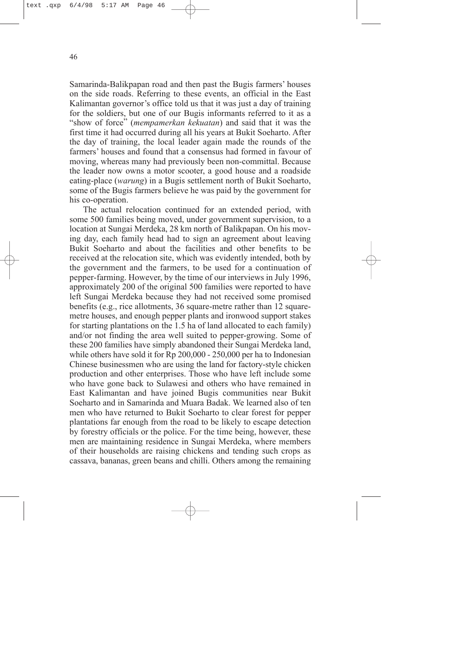Samarinda-Balikpapan road and then past the Bugis farmers' houses on the side roads. Referring to these events, an official in the East Kalimantan governor's office told us that it was just a day of training for the soldiers, but one of our Bugis informants referred to it as a "show of force" (*mempamerkan kekuatan*) and said that it was the first time it had occurred during all his years at Bukit Soeharto. After the day of training, the local leader again made the rounds of the farmers' houses and found that a consensus had formed in favour of moving, whereas many had previously been non-committal. Because the leader now owns a motor scooter, a good house and a roadside eating-place (*warung*) in a Bugis settlement north of Bukit Soeharto, some of the Bugis farmers believe he was paid by the government for his co-operation.

The actual relocation continued for an extended period, with some 500 families being moved, under government supervision, to a location at Sungai Merdeka, 28 km north of Balikpapan. On his moving day, each family head had to sign an agreement about leaving Bukit Soeharto and about the facilities and other benefits to be received at the relocation site, which was evidently intended, both by the government and the farmers, to be used for a continuation of pepper-farming. However, by the time of our interviews in July 1996, approximately 200 of the original 500 families were reported to have left Sungai Merdeka because they had not received some promised benefits (e.g., rice allotments, 36 square-metre rather than 12 squaremetre houses, and enough pepper plants and ironwood support stakes for starting plantations on the 1.5 ha of land allocated to each family) and/or not finding the area well suited to pepper-growing. Some of these 200 families have simply abandoned their Sungai Merdeka land, while others have sold it for Rp 200,000 - 250,000 per ha to Indonesian Chinese businessmen who are using the land for factory-style chicken production and other enterprises. Those who have left include some who have gone back to Sulawesi and others who have remained in East Kalimantan and have joined Bugis communities near Bukit Soeharto and in Samarinda and Muara Badak. We learned also of ten men who have returned to Bukit Soeharto to clear forest for pepper plantations far enough from the road to be likely to escape detection by forestry officials or the police. For the time being, however, these men are maintaining residence in Sungai Merdeka, where members of their households are raising chickens and tending such crops as cassava, bananas, green beans and chilli. Others among the remaining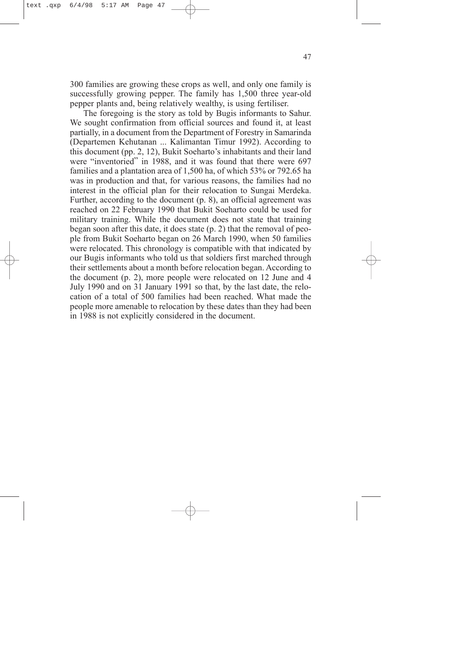300 families are growing these crops as well, and only one family is successfully growing pepper. The family has 1,500 three year-old pepper plants and, being relatively wealthy, is using fertiliser.

The foregoing is the story as told by Bugis informants to Sahur. We sought confirmation from official sources and found it, at least partially, in a document from the Department of Forestry in Samarinda (Departemen Kehutanan ... Kalimantan Timur 1992). According to this document (pp. 2, 12), Bukit Soeharto's inhabitants and their land were "inventoried" in 1988, and it was found that there were 697 families and a plantation area of 1,500 ha, of which 53% or 792.65 ha was in production and that, for various reasons, the families had no interest in the official plan for their relocation to Sungai Merdeka. Further, according to the document (p. 8), an official agreement was reached on 22 February 1990 that Bukit Soeharto could be used for military training. While the document does not state that training began soon after this date, it does state (p. 2) that the removal of people from Bukit Soeharto began on 26 March 1990, when 50 families were relocated. This chronology is compatible with that indicated by our Bugis informants who told us that soldiers first marched through their settlements about a month before relocation began. According to the document (p. 2), more people were relocated on 12 June and 4 July 1990 and on 31 January 1991 so that, by the last date, the relocation of a total of 500 families had been reached. What made the people more amenable to relocation by these dates than they had been in 1988 is not explicitly considered in the document.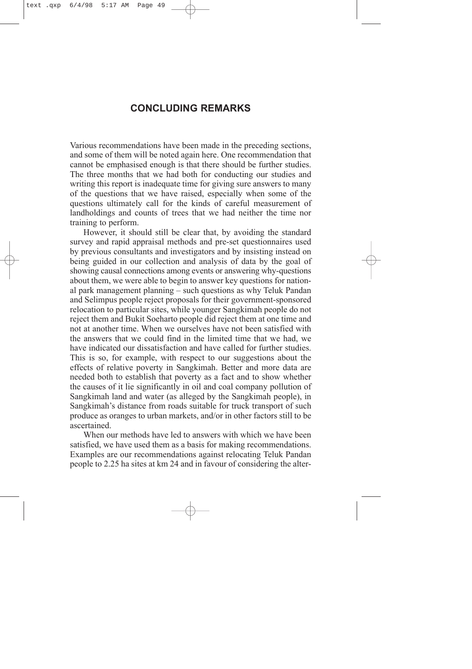## **CONCLUDING REMARKS**

<span id="page-52-0"></span>Various recommendations have been made in the preceding sections, and some of them will be noted again here. One recommendation that cannot be emphasised enough is that there should be further studies. The three months that we had both for conducting our studies and writing this report is inadequate time for giving sure answers to many of the questions that we have raised, especially when some of the questions ultimately call for the kinds of careful measurement of landholdings and counts of trees that we had neither the time nor training to perform.

However, it should still be clear that, by avoiding the standard survey and rapid appraisal methods and pre-set questionnaires used by previous consultants and investigators and by insisting instead on being guided in our collection and analysis of data by the goal of showing causal connections among events or answering why-questions about them, we were able to begin to answer key questions for national park management planning – such questions as why Teluk Pandan and Selimpus people reject proposals for their government-sponsored relocation to particular sites, while younger Sangkimah people do not reject them and Bukit Soeharto people did reject them at one time and not at another time. When we ourselves have not been satisfied with the answers that we could find in the limited time that we had, we have indicated our dissatisfaction and have called for further studies. This is so, for example, with respect to our suggestions about the effects of relative poverty in Sangkimah. Better and more data are needed both to establish that poverty as a fact and to show whether the causes of it lie significantly in oil and coal company pollution of Sangkimah land and water (as alleged by the Sangkimah people), in Sangkimah's distance from roads suitable for truck transport of such produce as oranges to urban markets, and/or in other factors still to be ascertained.

When our methods have led to answers with which we have been satisfied, we have used them as a basis for making recommendations. Examples are our recommendations against relocating Teluk Pandan people to 2.25 ha sites at km 24 and in favour of considering the alter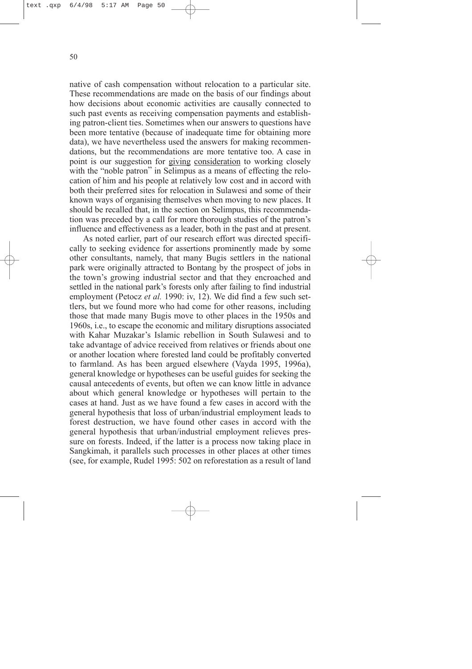native of cash compensation without relocation to a particular site. These recommendations are made on the basis of our findings about how decisions about economic activities are causally connected to such past events as receiving compensation payments and establishing patron-client ties. Sometimes when our answers to questions have been more tentative (because of inadequate time for obtaining more data), we have nevertheless used the answers for making recommendations, but the recommendations are more tentative too. A case in point is our suggestion for giving consideration to working closely with the "noble patron" in Selimpus as a means of effecting the relocation of him and his people at relatively low cost and in accord with both their preferred sites for relocation in Sulawesi and some of their known ways of organising themselves when moving to new places. It should be recalled that, in the section on Selimpus, this recommendation was preceded by a call for more thorough studies of the patron's influence and effectiveness as a leader, both in the past and at present.

As noted earlier, part of our research effort was directed specifically to seeking evidence for assertions prominently made by some other consultants, namely, that many Bugis settlers in the national park were originally attracted to Bontang by the prospect of jobs in the town's growing industrial sector and that they encroached and settled in the national park's forests only after failing to find industrial employment (Petocz *et al.* 1990: iv, 12). We did find a few such settlers, but we found more who had come for other reasons, including those that made many Bugis move to other places in the 1950s and 1960s, i.e., to escape the economic and military disruptions associated with Kahar Muzakar's Islamic rebellion in South Sulawesi and to take advantage of advice received from relatives or friends about one or another location where forested land could be profitably converted to farmland. As has been argued elsewhere (Vayda 1995, 1996a), general knowledge or hypotheses can be useful guides for seeking the causal antecedents of events, but often we can know little in advance about which general knowledge or hypotheses will pertain to the cases at hand. Just as we have found a few cases in accord with the general hypothesis that loss of urban/industrial employment leads to forest destruction, we have found other cases in accord with the general hypothesis that urban/industrial employment relieves pressure on forests. Indeed, if the latter is a process now taking place in Sangkimah, it parallels such processes in other places at other times (see, for example, Rudel 1995: 502 on reforestation as a result of land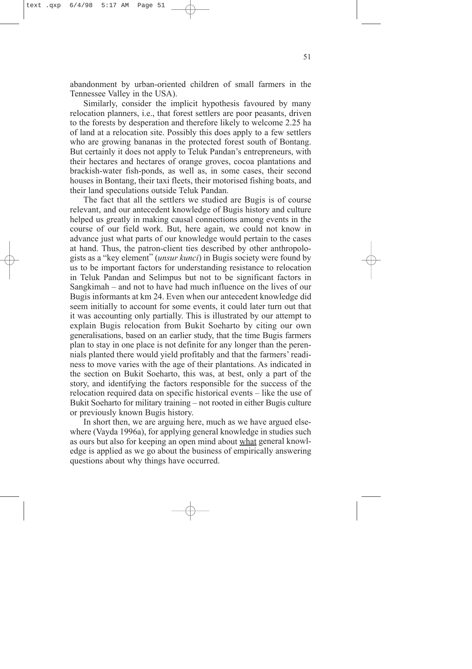abandonment by urban-oriented children of small farmers in the Tennessee Valley in the USA).

Similarly, consider the implicit hypothesis favoured by many relocation planners, i.e., that forest settlers are poor peasants, driven to the forests by desperation and therefore likely to welcome 2.25 ha of land at a relocation site. Possibly this does apply to a few settlers who are growing bananas in the protected forest south of Bontang. But certainly it does not apply to Teluk Pandan's entrepreneurs, with their hectares and hectares of orange groves, cocoa plantations and brackish-water fish-ponds, as well as, in some cases, their second houses in Bontang, their taxi fleets, their motorised fishing boats, and their land speculations outside Teluk Pandan.

The fact that all the settlers we studied are Bugis is of course relevant, and our antecedent knowledge of Bugis history and culture helped us greatly in making causal connections among events in the course of our field work. But, here again, we could not know in advance just what parts of our knowledge would pertain to the cases at hand. Thus, the patron-client ties described by other anthropologists as a "key element" (*unsur kunci*) in Bugis society were found by us to be important factors for understanding resistance to relocation in Teluk Pandan and Selimpus but not to be significant factors in Sangkimah – and not to have had much influence on the lives of our Bugis informants at km 24. Even when our antecedent knowledge did seem initially to account for some events, it could later turn out that it was accounting only partially. This is illustrated by our attempt to explain Bugis relocation from Bukit Soeharto by citing our own generalisations, based on an earlier study, that the time Bugis farmers plan to stay in one place is not definite for any longer than the perennials planted there would yield profitably and that the farmers' readiness to move varies with the age of their plantations. As indicated in the section on Bukit Soeharto, this was, at best, only a part of the story, and identifying the factors responsible for the success of the relocation required data on specific historical events – like the use of Bukit Soeharto for military training – not rooted in either Bugis culture or previously known Bugis history.

In short then, we are arguing here, much as we have argued elsewhere (Vayda 1996a), for applying general knowledge in studies such as ours but also for keeping an open mind about what general knowledge is applied as we go about the business of empirically answering questions about why things have occurred.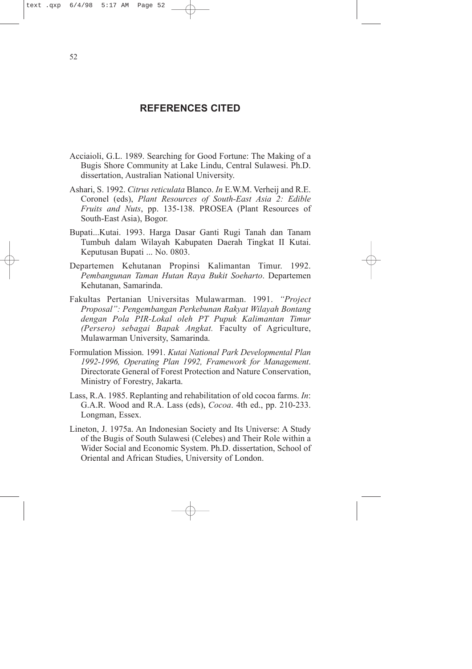## **REFERENCES CITED**

- <span id="page-55-0"></span>Acciaioli, G.L. 1989. Searching for Good Fortune: The Making of a Bugis Shore Community at Lake Lindu, Central Sulawesi. Ph.D. dissertation, Australian National University.
- Ashari, S. 1992. *Citrus reticulata* Blanco. *In* E.W.M. Verheij and R.E. Coronel (eds), *Plant Resources of South-East Asia 2: Edible Fruits and Nuts*, pp. 135-138. PROSEA (Plant Resources of South-East Asia), Bogor.
- Bupati...Kutai. 1993. Harga Dasar Ganti Rugi Tanah dan Tanam Tumbuh dalam Wilayah Kabupaten Daerah Tingkat II Kutai. Keputusan Bupati ... No. 0803.
- Departemen Kehutanan Propinsi Kalimantan Timur. 1992. *Pembangunan Taman Hutan Raya Bukit Soeharto*. Departemen Kehutanan, Samarinda.
- Fakultas Pertanian Universitas Mulawarman. 1991. *"Project Proposal": Pengembangan Perkebunan Rakyat Wilayah Bontang dengan Pola PIR-Lokal oleh PT Pupuk Kalimantan Timur (Persero) sebagai Bapak Angkat.* Faculty of Agriculture, Mulawarman University, Samarinda.
- Formulation Mission. 1991. *Kutai National Park Developmental Plan 1992-1996, Operating Plan 1992, Framework for Management*. Directorate General of Forest Protection and Nature Conservation, Ministry of Forestry, Jakarta.
- Lass, R.A. 1985. Replanting and rehabilitation of old cocoa farms. *In*: G.A.R. Wood and R.A. Lass (eds), *Cocoa*. 4th ed., pp. 210-233. Longman, Essex.
- Lineton, J. 1975a. An Indonesian Society and Its Universe: A Study of the Bugis of South Sulawesi (Celebes) and Their Role within a Wider Social and Economic System. Ph.D. dissertation, School of Oriental and African Studies, University of London.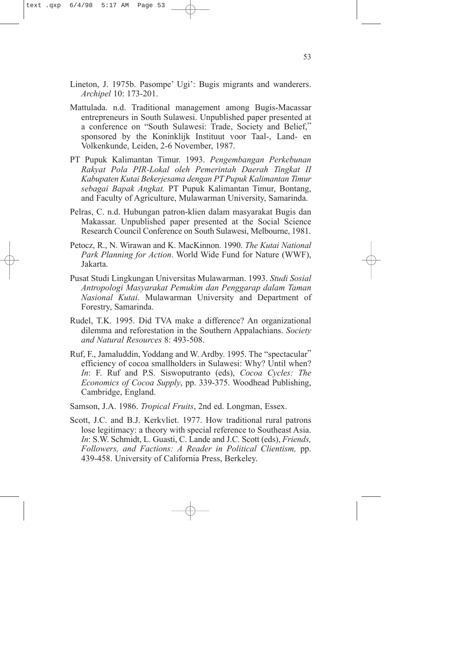- Lineton, J. 1975b. Pasompe' Ugi': Bugis migrants and wanderers. *Archipel* 10: 173-201.
- Mattulada. n.d. Traditional management among Bugis-Macassar entrepreneurs in South Sulawesi. Unpublished paper presented at a conference on "South Sulawesi: Trade, Society and Belief," sponsored by the Koninklijk Instituut voor Taal-, Land- en Volkenkunde, Leiden, 2-6 November, 1987.
- PT Pupuk Kalimantan Timur. 1993. *Pengembangan Perkebunan Rakyat Pola PIR-Lokal oleh Pemerintah Daerah Tingkat II Kabupaten Kutai Bekerjesama dengan PT Pupuk Kalimantan Timur sebagai Bapak Angkat.* PT Pupuk Kalimantan Timur, Bontang, and Faculty of Agriculture, Mulawarman University, Samarinda.
- Pelras, C. n.d. Hubungan patron-klien dalam masyarakat Bugis dan Makassar. Unpublished paper presented at the Social Science Research Council Conference on South Sulawesi, Melbourne, 1981.
- Petocz, R., N. Wirawan and K. MacKinnon. 1990. *The Kutai National Park Planning for Action*. World Wide Fund for Nature (WWF), Jakarta.
- Pusat Studi Lingkungan Universitas Mulawarman. 1993. *Studi Sosial Antropologi Masyarakat Pemukim dan Penggarap dalam Taman Nasional Kutai*. Mulawarman University and Department of Forestry, Samarinda.
- Rudel, T.K. 1995. Did TVA make a difference? An organizational dilemma and reforestation in the Southern Appalachians. *Society and Natural Resources* 8: 493-508.
- Ruf, F., Jamaluddin, Yoddang and W. Ardby. 1995. The "spectacular" efficiency of cocoa smallholders in Sulawesi: Why? Until when? *In*: F. Ruf and P.S. Siswoputranto (eds), *Cocoa Cycles: The Economics of Cocoa Supply*, pp. 339-375. Woodhead Publishing, Cambridge, England.
- Samson, J.A. 1986. *Tropical Fruits*, 2nd ed. Longman, Essex.
- Scott, J.C. and B.J. Kerkvliet. 1977. How traditional rural patrons lose legitimacy: a theory with special reference to Southeast Asia. *In*: S.W. Schmidt, L. Guasti, C. Lande and J.C. Scott (eds), *Friends, Followers, and Factions: A Reader in Political Clientism,* pp. 439-458. University of California Press, Berkeley.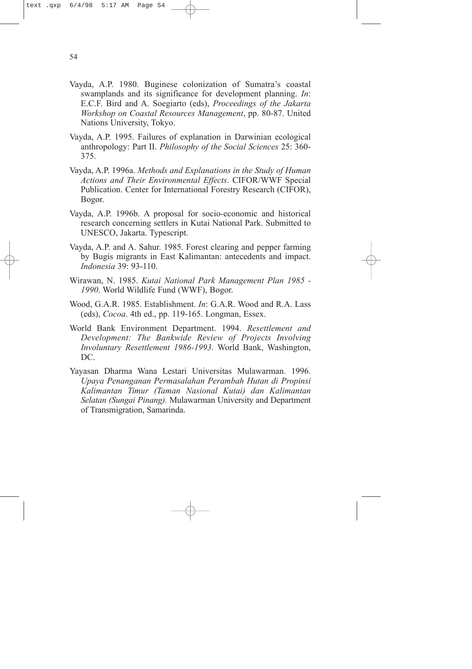- Vayda, A.P. 1980. Buginese colonization of Sumatra's coastal swamplands and its significance for development planning. *In*: E.C.F. Bird and A. Soegiarto (eds), *Proceedings of the Jakarta Workshop on Coastal Resources Management*, pp. 80-87. United Nations University, Tokyo.
- Vayda, A.P. 1995. Failures of explanation in Darwinian ecological anthropology: Part II. *Philosophy of the Social Sciences* 25: 360- 375.
- Vayda, A.P. 1996a. *Methods and Explanations in the Study of Human Actions and Their Environmental Effects*. CIFOR/WWF Special Publication. Center for International Forestry Research (CIFOR), Bogor.
- Vayda, A.P. 1996b. A proposal for socio-economic and historical research concerning settlers in Kutai National Park. Submitted to UNESCO, Jakarta. Typescript.
- Vayda, A.P. and A. Sahur. 1985. Forest clearing and pepper farming by Bugis migrants in East Kalimantan: antecedents and impact. *Indonesia* 39: 93-110.
- Wirawan, N. 1985. *Kutai National Park Management Plan 1985 - 1990*. World Wildlife Fund (WWF), Bogor.
- Wood, G.A.R. 1985. Establishment. *In*: G.A.R. Wood and R.A. Lass (eds), *Cocoa*. 4th ed., pp. 119-165. Longman, Essex.
- World Bank Environment Department. 1994. *Resettlement and Development: The Bankwide Review of Projects Involving Involuntary Resettlement 1986-1993*. World Bank, Washington, DC.
- Yayasan Dharma Wana Lestari Universitas Mulawarman. 1996. *Upaya Penanganan Permasalahan Perambah Hutan di Propinsi Kalimantan Timur (Taman Nasional Kutai) dan Kalimantan Selatan (Sungai Pinang).* Mulawarman University and Department of Transmigration, Samarinda.